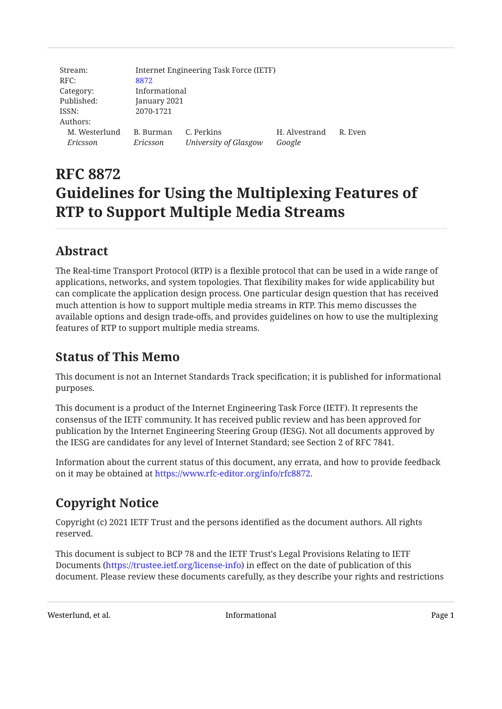| 8872                  |                                     |                         |                                        |
|-----------------------|-------------------------------------|-------------------------|----------------------------------------|
|                       |                                     |                         |                                        |
| January 2021          |                                     |                         |                                        |
| 2070-1721             |                                     |                         |                                        |
|                       |                                     |                         |                                        |
| B. Burman<br>Ericsson | C. Perkins<br>University of Glasgow | H. Alvestrand<br>Google | R. Even                                |
|                       |                                     | Informational           | Internet Engineering Task Force (IETF) |

# **RFC 8872 Guidelines for Using the Multiplexing Features of RTP to Support Multiple Media Streams**

# <span id="page-0-0"></span>**[Abstract](#page-0-0)**

The Real-time Transport Protocol (RTP) is a flexible protocol that can be used in a wide range of applications, networks, and system topologies. That flexibility makes for wide applicability but can complicate the application design process. One particular design question that has received much attention is how to support multiple media streams in RTP. This memo discusses the available options and design trade-offs, and provides guidelines on how to use the multiplexing features of RTP to support multiple media streams.

# <span id="page-0-1"></span>**[Status of This Memo](#page-0-1)**

This document is not an Internet Standards Track specification; it is published for informational purposes.

This document is a product of the Internet Engineering Task Force (IETF). It represents the consensus of the IETF community. It has received public review and has been approved for publication by the Internet Engineering Steering Group (IESG). Not all documents approved by the IESG are candidates for any level of Internet Standard; see Section 2 of RFC 7841.

<span id="page-0-2"></span>Information about the current status of this document, any errata, and how to provide feedback on it may be obtained at <https://www.rfc-editor.org/info/rfc8872>.

# **[Copyright Notice](#page-0-2)**

Copyright (c) 2021 IETF Trust and the persons identified as the document authors. All rights reserved.

This document is subject to BCP 78 and the IETF Trust's Legal Provisions Relating to IETF Documents (<https://trustee.ietf.org/license-info>) in effect on the date of publication of this document. Please review these documents carefully, as they describe your rights and restrictions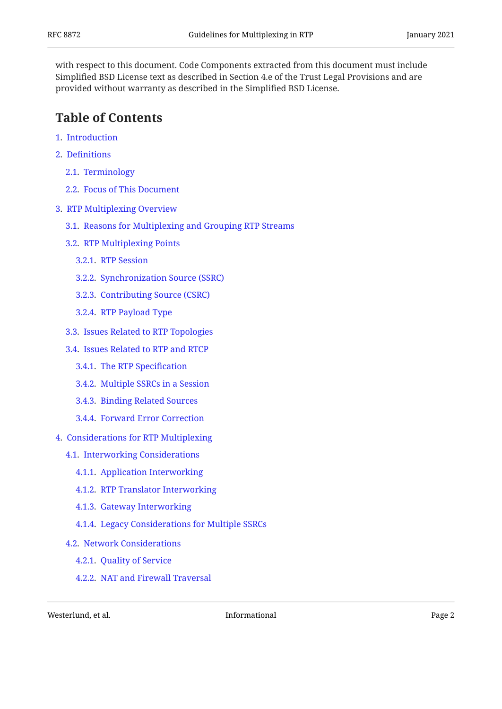with respect to this document. Code Components extracted from this document must include Simplified BSD License text as described in Section 4.e of the Trust Legal Provisions and are provided without warranty as described in the Simplified BSD License.

# <span id="page-1-0"></span>**[Table of Contents](#page-1-0)**

- [1.](#page-3-0) [Introduction](#page-3-0)
- [2.](#page-3-1) Defi[nitions](#page-3-1)
	- [2.1.](#page-3-2) [Terminology](#page-3-2)
	- [2.2.](#page-4-0) [Focus of This Document](#page-4-0)
- [3.](#page-5-0) [RTP Multiplexing Overview](#page-5-0)
	- [3.1.](#page-5-1) [Reasons for Multiplexing and Grouping RTP Streams](#page-5-1)
	- [3.2.](#page-5-2) [RTP Multiplexing Points](#page-5-2)
		- [3.2.1.](#page-6-0) [RTP Session](#page-6-0)
		- [3.2.2.](#page-7-0) [Synchronization Source \(SSRC\)](#page-7-0)
		- [3.2.3.](#page-8-0) [Contributing Source \(CSRC\)](#page-8-0)
		- [3.2.4.](#page-9-0) [RTP Payload Type](#page-9-0)
	- [3.3.](#page-9-1) [Issues Related to RTP Topologies](#page-9-1)
	- [3.4.](#page-10-0) [Issues Related to RTP and RTCP](#page-10-0)
		- [3.4.1.](#page-11-0) [The RTP Speci](#page-11-0)fication
		- [3.4.2.](#page-12-0) [Multiple SSRCs in a Session](#page-12-0)
		- [3.4.3.](#page-12-1) [Binding Related Sources](#page-12-1)
		- [3.4.4.](#page-14-0) [Forward Error Correction](#page-14-0)
- [4.](#page-14-1) [Considerations for RTP Multiplexing](#page-14-1)
	- [4.1.](#page-14-2) [Interworking Considerations](#page-14-2)
		- [4.1.1.](#page-14-3) [Application Interworking](#page-14-3)
		- [4.1.2.](#page-15-0) [RTP Translator Interworking](#page-15-0)
		- [4.1.3.](#page-15-1) [Gateway Interworking](#page-15-1)
		- [4.1.4.](#page-16-0) [Legacy Considerations for Multiple SSRCs](#page-16-0)
	- [4.2.](#page-17-0) [Network Considerations](#page-17-0)
		- [4.2.1.](#page-17-1) [Quality of Service](#page-17-1)
		- [4.2.2.](#page-17-2) [NAT and Firewall Traversal](#page-17-2)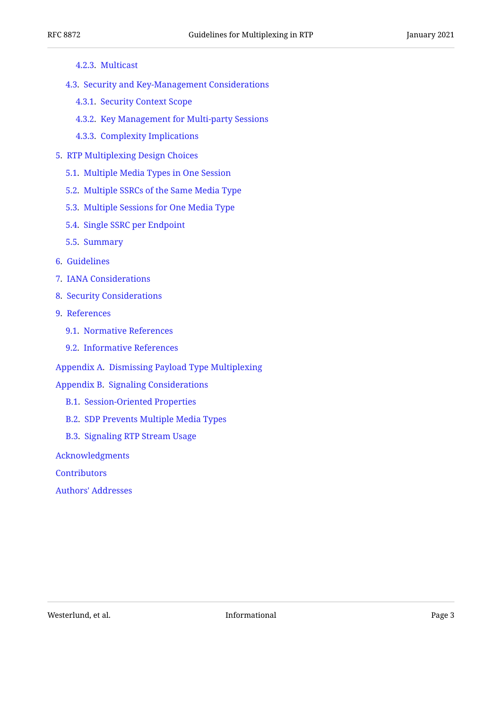- [4.2.3.](#page-19-0) [Multicast](#page-19-0)
- [4.3.](#page-20-0) [Security and Key-Management Considerations](#page-20-0)
	- [4.3.1.](#page-20-1) [Security Context Scope](#page-20-1)
	- [4.3.2.](#page-21-0) [Key Management for Multi-party Sessions](#page-21-0)
	- [4.3.3.](#page-21-1) [Complexity Implications](#page-21-1)
- [5.](#page-21-2) [RTP Multiplexing Design Choices](#page-21-2)
	- [5.1.](#page-22-0) [Multiple Media Types in One Session](#page-22-0)
	- [5.2.](#page-23-0) [Multiple SSRCs of the Same Media Type](#page-23-0)
	- [5.3.](#page-24-0) [Multiple Sessions for One Media Type](#page-24-0)
	- [5.4.](#page-25-0) [Single SSRC per Endpoint](#page-25-0)
	- [5.5.](#page-26-0) [Summary](#page-26-0)
- [6.](#page-26-1) [Guidelines](#page-26-1)
- [7.](#page-27-0) [IANA Considerations](#page-27-0)
- [8.](#page-27-1) [Security Considerations](#page-27-1)
- [9.](#page-27-2) [References](#page-27-2)
	- [9.1.](#page-27-3) [Normative References](#page-27-3)
	- [9.2.](#page-28-0) [Informative References](#page-28-0)
- [Appendix A.](#page-31-0) [Dismissing Payload Type Multiplexing](#page-31-0)

[Appendix B](#page-32-0). [Signaling Considerations](#page-32-0)

- [B.1.](#page-33-0) [Session-Oriented Properties](#page-33-0)
- [B.2.](#page-33-1) [SDP Prevents Multiple Media Types](#page-33-1)
- [B.3.](#page-34-0) [Signaling RTP Stream Usage](#page-34-0)

[Acknowledgments](#page-34-1)

**[Contributors](#page-34-2)** 

[Authors' Addresses](#page-34-3)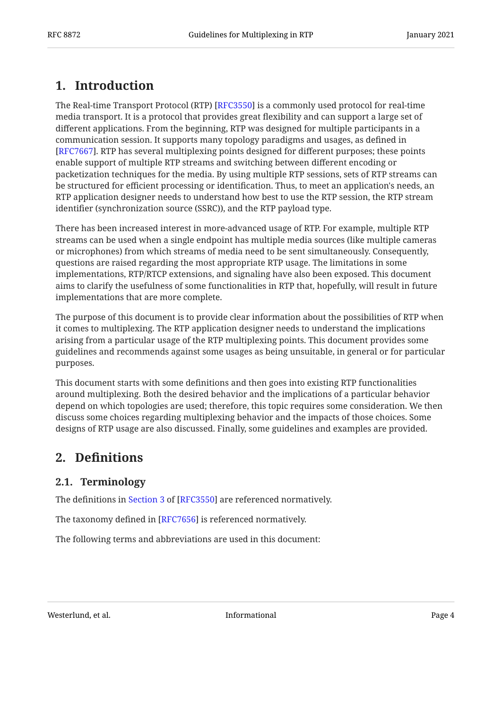# <span id="page-3-0"></span>**[1. Introduction](#page-3-0)**

The Real-time Transport Protocol (RTP) [RFC3550] is a commonly used protocol for real-time media transport. It is a protocol that provides great flexibility and can support a large set of different applications. From the beginning, RTP was designed for multiple participants in a communication session. It supports many topology paradigms and usages, as defined in [[RFC7667\]](#page-28-1). RTP has several multiplexing points designed for different purposes; these points enable support of multiple RTP streams and switching between different encoding or packetization techniques for the media. By using multiple RTP sessions, sets of RTP streams can be structured for efficient processing or identification. Thus, to meet an application's needs, an RTP application designer needs to understand how best to use the RTP session, the RTP stream identifier (synchronization source (SSRC)), and the RTP payload type.

There has been increased interest in more-advanced usage of RTP. For example, multiple RTP streams can be used when a single endpoint has multiple media sources (like multiple cameras or microphones) from which streams of media need to be sent simultaneously. Consequently, questions are raised regarding the most appropriate RTP usage. The limitations in some implementations, RTP/RTCP extensions, and signaling have also been exposed. This document aims to clarify the usefulness of some functionalities in RTP that, hopefully, will result in future implementations that are more complete.

The purpose of this document is to provide clear information about the possibilities of RTP when it comes to multiplexing. The RTP application designer needs to understand the implications arising from a particular usage of the RTP multiplexing points. This document provides some guidelines and recommends against some usages as being unsuitable, in general or for particular purposes.

This document starts with some definitions and then goes into existing RTP functionalities around multiplexing. Both the desired behavior and the implications of a particular behavior depend on which topologies are used; therefore, this topic requires some consideration. We then discuss some choices regarding multiplexing behavior and the impacts of those choices. Some designs of RTP usage are also discussed. Finally, some guidelines and examples are provided.

# <span id="page-3-2"></span><span id="page-3-1"></span>**[2.](#page-3-1) Defi[nitions](#page-3-1)**

## **[2.1. Terminology](#page-3-2)**

Thedefinitions in Section 3 of [RFC3550] are referenced normatively.

The taxonomy defined in [\[RFC7656](#page-28-2)] is referenced normatively.

The following terms and abbreviations are used in this document: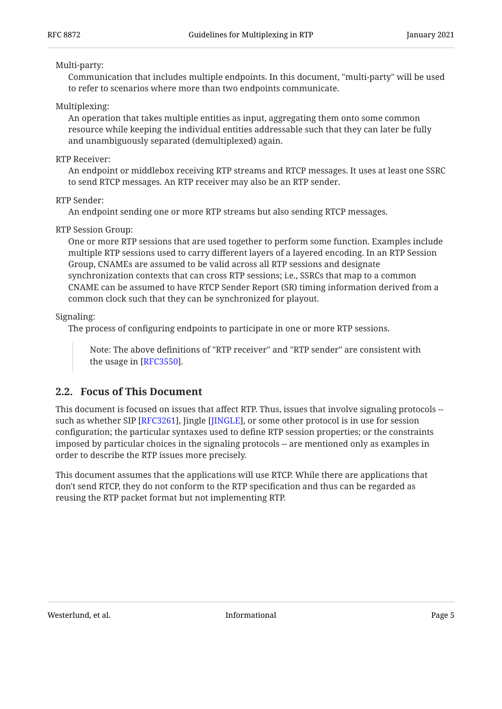#### Multi-party:

Communication that includes multiple endpoints. In this document, "multi-party" will be used to refer to scenarios where more than two endpoints communicate.

#### Multiplexing:

An operation that takes multiple entities as input, aggregating them onto some common resource while keeping the individual entities addressable such that they can later be fully and unambiguously separated (demultiplexed) again.

#### RTP Receiver:

An endpoint or middlebox receiving RTP streams and RTCP messages. It uses at least one SSRC to send RTCP messages. An RTP receiver may also be an RTP sender.

#### RTP Sender:

An endpoint sending one or more RTP streams but also sending RTCP messages.

#### RTP Session Group:

One or more RTP sessions that are used together to perform some function. Examples include multiple RTP sessions used to carry different layers of a layered encoding. In an RTP Session Group, CNAMEs are assumed to be valid across all RTP sessions and designate synchronization contexts that can cross RTP sessions; i.e., SSRCs that map to a common CNAME can be assumed to have RTCP Sender Report (SR) timing information derived from a common clock such that they can be synchronized for playout.

#### Signaling:

The process of configuring endpoints to participate in one or more RTP sessions.

Note: The above definitions of "RTP receiver" and "RTP sender" are consistent with the usage in [\[RFC3550](#page-27-4)].

## <span id="page-4-0"></span>**[2.2. Focus of This Document](#page-4-0)**

This document is focused on issues that affect RTP. Thus, issues that involve signaling protocols - such as whether SIP [RFC3261], Jingle [JINGLE], or some other protocol is in use for session configuration; the particular syntaxes used to define RTP session properties; or the constraints imposed by particular choices in the signaling protocols -- are mentioned only as examples in order to describe the RTP issues more precisely.

This document assumes that the applications will use RTCP. While there are applications that don't send RTCP, they do not conform to the RTP specification and thus can be regarded as reusing the RTP packet format but not implementing RTP.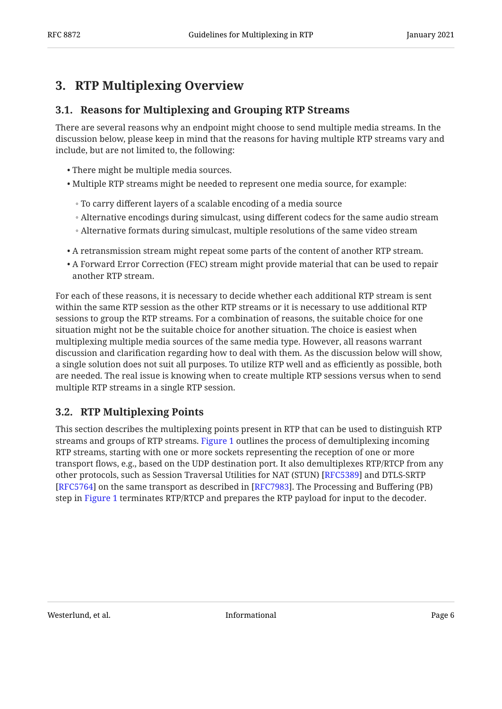# <span id="page-5-1"></span><span id="page-5-0"></span>**[3. RTP Multiplexing Overview](#page-5-0)**

### **[3.1. Reasons for Multiplexing and Grouping RTP Streams](#page-5-1)**

There are several reasons why an endpoint might choose to send multiple media streams. In the discussion below, please keep in mind that the reasons for having multiple RTP streams vary and include, but are not limited to, the following:

- There might be multiple media sources. •
- Multiple RTP streams might be needed to represent one media source, for example:
	- To carry different layers of a scalable encoding of a media source
	- Alternative encodings during simulcast, using different codecs for the same audio stream
	- Alternative formats during simulcast, multiple resolutions of the same video stream
- A retransmission stream might repeat some parts of the content of another RTP stream. •
- $\bullet$  A Forward Error Correction (FEC) stream might provide material that can be used to repair another RTP stream.

For each of these reasons, it is necessary to decide whether each additional RTP stream is sent within the same RTP session as the other RTP streams or it is necessary to use additional RTP sessions to group the RTP streams. For a combination of reasons, the suitable choice for one situation might not be the suitable choice for another situation. The choice is easiest when multiplexing multiple media sources of the same media type. However, all reasons warrant discussion and clarification regarding how to deal with them. As the discussion below will show, a single solution does not suit all purposes. To utilize RTP well and as efficiently as possible, both are needed. The real issue is knowing when to create multiple RTP sessions versus when to send multiple RTP streams in a single RTP session.

## <span id="page-5-2"></span>**[3.2. RTP Multiplexing Points](#page-5-2)**

This section describes the multiplexing points present in RTP that can be used to distinguish RTP streams and groups of RTP streams. [Figure 1](#page-6-1) outlines the process of demultiplexing incoming RTP streams, starting with one or more sockets representing the reception of one or more transport flows, e.g., based on the UDP destination port. It also demultiplexes RTP/RTCP from any other protocols, such as Session Traversal Utilities for NAT (STUN) [RFC5389] and DTLS-SRTP [[RFC5764\]](#page-30-1) on the same transport as described in [RFC7983]. The Processing and Buffering (PB) step in [Figure 1](#page-6-1) terminates RTP/RTCP and prepares the RTP payload for input to the decoder.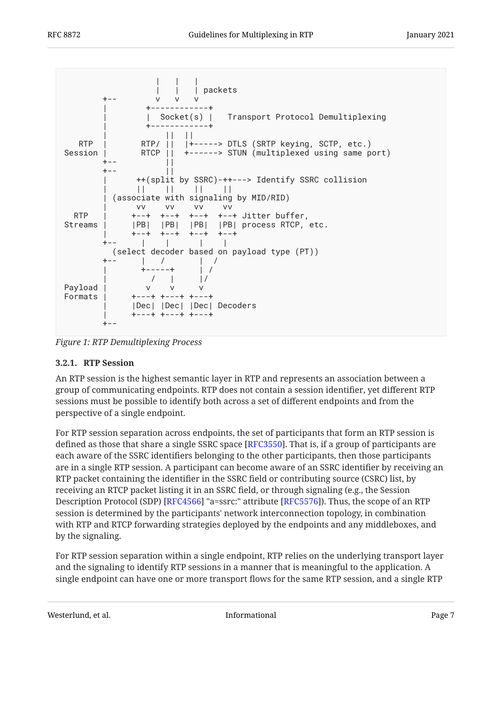<span id="page-6-1"></span>

<span id="page-6-0"></span>*[Figure 1: RTP Demultiplexing Process](#page-6-1)* 

#### **[3.2.1. RTP Session](#page-6-0)**

An RTP session is the highest semantic layer in RTP and represents an association between a group of communicating endpoints. RTP does not contain a session identifier, yet different RTP sessions must be possible to identify both across a set of different endpoints and from the perspective of a single endpoint.

For RTP session separation across endpoints, the set of participants that form an RTP session is defined as those that share a single SSRC space [[RFC3550\]](#page-27-4). That is, if a group of participants are each aware of the SSRC identifiers belonging to the other participants, then those participants are in a single RTP session. A participant can become aware of an SSRC identifier by receiving an RTP packet containing the identifier in the SSRC field or contributing source (CSRC) list, by receiving an RTCP packet listing it in an SSRC field, or through signaling (e.g., the Session Description Protocol (SDP) [RFC4566] "a=ssrc:" attribute [RFC5576]). Thus, the scope of an RTP session is determined by the participants' network interconnection topology, in combination with RTP and RTCP forwarding strategies deployed by the endpoints and any middleboxes, and by the signaling.

For RTP session separation within a single endpoint, RTP relies on the underlying transport layer and the signaling to identify RTP sessions in a manner that is meaningful to the application. A single endpoint can have one or more transport flows for the same RTP session, and a single RTP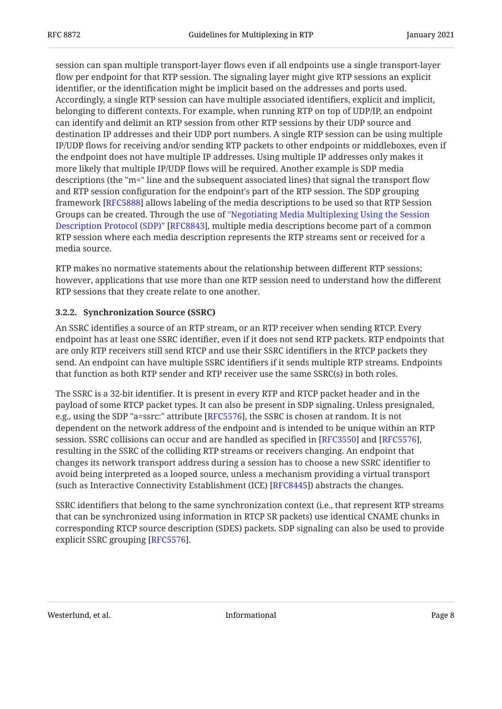session can span multiple transport-layer flows even if all endpoints use a single transport-layer flow per endpoint for that RTP session. The signaling layer might give RTP sessions an explicit identifier, or the identification might be implicit based on the addresses and ports used. Accordingly, a single RTP session can have multiple associated identifiers, explicit and implicit, belonging to different contexts. For example, when running RTP on top of UDP/IP, an endpoint can identify and delimit an RTP session from other RTP sessions by their UDP source and destination IP addresses and their UDP port numbers. A single RTP session can be using multiple IP/UDP flows for receiving and/or sending RTP packets to other endpoints or middleboxes, even if the endpoint does not have multiple IP addresses. Using multiple IP addresses only makes it more likely that multiple IP/UDP flows will be required. Another example is SDP media descriptions (the "m=" line and the subsequent associated lines) that signal the transport flow and RTP session configuration for the endpoint's part of the RTP session. The SDP grouping framework [[RFC5888\]](#page-30-3) allows labeling of the media descriptions to be used so that RTP Session Groups can be created. Through the use of ["Negotiating Media Multiplexing Using the Session](#page-28-4) [Description Protocol \(SDP\)"](#page-28-4) [[RFC8843\]](#page-28-4), multiple media descriptions become part of a common RTP session where each media description represents the RTP streams sent or received for a media source.

RTP makes no normative statements about the relationship between different RTP sessions; however, applications that use more than one RTP session need to understand how the different RTP sessions that they create relate to one another.

### <span id="page-7-0"></span>**[3.2.2. Synchronization Source \(SSRC\)](#page-7-0)**

An SSRC identifies a source of an RTP stream, or an RTP receiver when sending RTCP. Every endpoint has at least one SSRC identifier, even if it does not send RTP packets. RTP endpoints that are only RTP receivers still send RTCP and use their SSRC identifiers in the RTCP packets they send. An endpoint can have multiple SSRC identifiers if it sends multiple RTP streams. Endpoints that function as both RTP sender and RTP receiver use the same SSRC(s) in both roles.

The SSRC is a 32-bit identifier. It is present in every RTP and RTCP packet header and in the payload of some RTCP packet types. It can also be present in SDP signaling. Unless presignaled, e.g., using the SDP "a=ssrc:" attribute [\[RFC5576\]](#page-28-3), the SSRC is chosen at random. It is not dependent on the network address of the endpoint and is intended to be unique within an RTP session. SSRC collisions can occur and are handled as specified in [[RFC3550\]](#page-27-4) and [\[RFC5576](#page-28-3)], resulting in the SSRC of the colliding RTP streams or receivers changing. An endpoint that changes its network transport address during a session has to choose a new SSRC identifier to avoid being interpreted as a looped source, unless a mechanism providing a virtual transport (such as Interactive Connectivity Establishment (ICE) [[RFC8445\]](#page-31-1)) abstracts the changes.

SSRC identifiers that belong to the same synchronization context (i.e., that represent RTP streams that can be synchronized using information in RTCP SR packets) use identical CNAME chunks in corresponding RTCP source description (SDES) packets. SDP signaling can also be used to provide explicit SSRC grouping [\[RFC5576](#page-28-3)].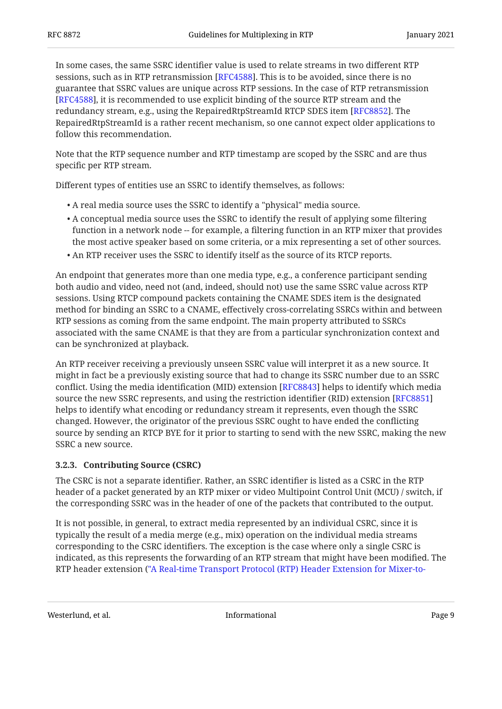In some cases, the same SSRC identifier value is used to relate streams in two different RTP sessions, such as in RTP retransmission [[RFC4588\]](#page-30-4). This is to be avoided, since there is no guarantee that SSRC values are unique across RTP sessions. In the case of RTP retransmission [[RFC4588\]](#page-30-4), it is recommended to use explicit binding of the source RTP stream and the redundancy stream, e.g., using the RepairedRtpStreamId RTCP SDES item [RFC8852]. The RepairedRtpStreamId is a rather recent mechanism, so one cannot expect older applications to follow this recommendation.

Note that the RTP sequence number and RTP timestamp are scoped by the SSRC and are thus specific per RTP stream.

Different types of entities use an SSRC to identify themselves, as follows:

- A real media source uses the SSRC to identify a "physical" media source. •
- A conceptual media source uses the SSRC to identify the result of applying some filtering function in a network node -- for example, a filtering function in an RTP mixer that provides the most active speaker based on some criteria, or a mix representing a set of other sources.
- An RTP receiver uses the SSRC to identify itself as the source of its RTCP reports. •

An endpoint that generates more than one media type, e.g., a conference participant sending both audio and video, need not (and, indeed, should not) use the same SSRC value across RTP sessions. Using RTCP compound packets containing the CNAME SDES item is the designated method for binding an SSRC to a CNAME, effectively cross-correlating SSRCs within and between RTP sessions as coming from the same endpoint. The main property attributed to SSRCs associated with the same CNAME is that they are from a particular synchronization context and can be synchronized at playback.

An RTP receiver receiving a previously unseen SSRC value will interpret it as a new source. It might in fact be a previously existing source that had to change its SSRC number due to an SSRC conflict. Using the media identification (MID) extension [[RFC8843\]](#page-28-4) helps to identify which media source the new SSRC represents, and using the restriction identifier (RID) extension [[RFC8851\]](#page-28-6) helps to identify what encoding or redundancy stream it represents, even though the SSRC changed. However, the originator of the previous SSRC ought to have ended the conflicting source by sending an RTCP BYE for it prior to starting to send with the new SSRC, making the new SSRC a new source.

#### <span id="page-8-0"></span>**[3.2.3. Contributing Source \(CSRC\)](#page-8-0)**

The CSRC is not a separate identifier. Rather, an SSRC identifier is listed as a CSRC in the RTP header of a packet generated by an RTP mixer or video Multipoint Control Unit (MCU) / switch, if the corresponding SSRC was in the header of one of the packets that contributed to the output.

It is not possible, in general, to extract media represented by an individual CSRC, since it is typically the result of a media merge (e.g., mix) operation on the individual media streams corresponding to the CSRC identifiers. The exception is the case where only a single CSRC is indicated, as this represents the forwarding of an RTP stream that might have been modified. The RTP header extension (["A Real-time Transport Protocol \(RTP\) Header Extension for Mixer-to-](#page-30-5)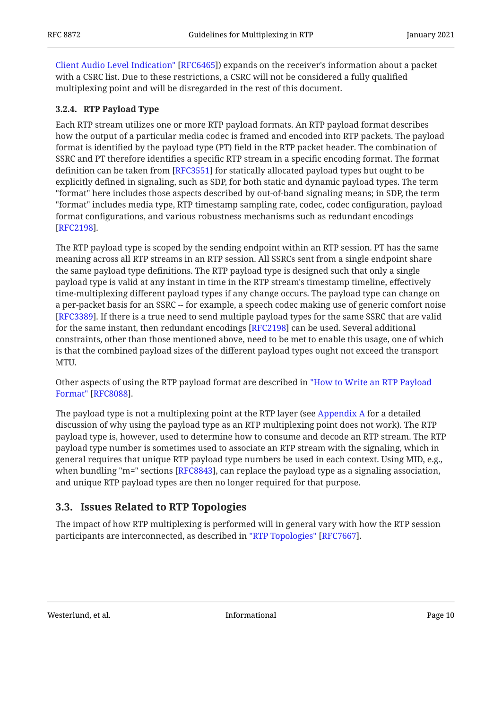[Client Audio Level Indication"](#page-30-5) [\[RFC6465](#page-30-5)]) expands on the receiver's information about a packet with a CSRC list. Due to these restrictions, a CSRC will not be considered a fully qualified multiplexing point and will be disregarded in the rest of this document.

### <span id="page-9-0"></span>**[3.2.4. RTP Payload Type](#page-9-0)**

Each RTP stream utilizes one or more RTP payload formats. An RTP payload format describes how the output of a particular media codec is framed and encoded into RTP packets. The payload format is identified by the payload type (PT) field in the RTP packet header. The combination of SSRC and PT therefore identifies a specific RTP stream in a specific encoding format. The format definition can be taken from [RFC3551] for statically allocated payload types but ought to be explicitly defined in signaling, such as SDP, for both static and dynamic payload types. The term "format" here includes those aspects described by out-of-band signaling means; in SDP, the term "format" includes media type, RTP timestamp sampling rate, codec, codec configuration, payload format configurations, and various robustness mechanisms such as redundant encodings . [[RFC2198\]](#page-29-3)

The RTP payload type is scoped by the sending endpoint within an RTP session. PT has the same meaning across all RTP streams in an RTP session. All SSRCs sent from a single endpoint share the same payload type definitions. The RTP payload type is designed such that only a single payload type is valid at any instant in time in the RTP stream's timestamp timeline, effectively time-multiplexing different payload types if any change occurs. The payload type can change on a per-packet basis for an SSRC -- for example, a speech codec making use of generic comfort noise [[RFC3389\]](#page-29-4). If there is a true need to send multiple payload types for the same SSRC that are valid for the same instant, then redundant encodings [RFC2198] can be used. Several additional constraints, other than those mentioned above, need to be met to enable this usage, one of which is that the combined payload sizes of the different payload types ought not exceed the transport MTU.

Other aspects of using the RTP payload format are described in ["How to Write an RTP Payload](#page-31-2) . [Format"](#page-31-2) [[RFC8088\]](#page-31-2)

The payload type is not a multiplexing point at the RTP layer (see [Appendix A](#page-31-0) for a detailed discussion of why using the payload type as an RTP multiplexing point does not work). The RTP payload type is, however, used to determine how to consume and decode an RTP stream. The RTP payload type number is sometimes used to associate an RTP stream with the signaling, which in general requires that unique RTP payload type numbers be used in each context. Using MID, e.g., when bundling "m=" sections [\[RFC8843](#page-28-4)], can replace the payload type as a signaling association, and unique RTP payload types are then no longer required for that purpose.

## <span id="page-9-1"></span>**[3.3. Issues Related to RTP Topologies](#page-9-1)**

The impact of how RTP multiplexing is performed will in general vary with how the RTP session participants are interconnected, as described in ["RTP Topologies"](#page-28-1) [[RFC7667\]](#page-28-1).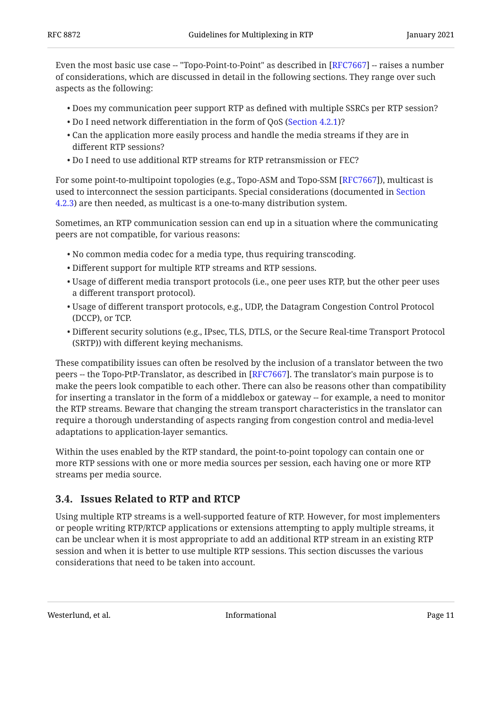Even the most basic use case -- "Topo-Point-to-Point" as described in [RFC7667] -- raises a number of considerations, which are discussed in detail in the following sections. They range over such aspects as the following:

- Does my communication peer support RTP as defined with multiple SSRCs per RTP session? •
- Do I need network differentiation in the form of QoS ([Section 4.2.1\)](#page-17-1)? •
- $\bullet$  Can the application more easily process and handle the media streams if they are in different RTP sessions?
- Do I need to use additional RTP streams for RTP retransmission or FEC? •

For some point-to-multipoint topologies (e.g., Topo-ASM and Topo-SSM [RFC7667]), multicast is used to interconnect the session participants. Special considerations (documented in [Section](#page-19-0) [4.2.3\)](#page-19-0) are then needed, as multicast is a one-to-many distribution system.

Sometimes, an RTP communication session can end up in a situation where the communicating peers are not compatible, for various reasons:

- No common media codec for a media type, thus requiring transcoding. •
- Different support for multiple RTP streams and RTP sessions. •
- Usage of different media transport protocols (i.e., one peer uses RTP, but the other peer uses a different transport protocol).
- Usage of different transport protocols, e.g., UDP, the Datagram Congestion Control Protocol (DCCP), or TCP.
- Different security solutions (e.g., IPsec, TLS, DTLS, or the Secure Real-time Transport Protocol (SRTP)) with different keying mechanisms.

These compatibility issues can often be resolved by the inclusion of a translator between the two peers -- the Topo-PtP-Translator, as described in [\[RFC7667\]](#page-28-1). The translator's main purpose is to make the peers look compatible to each other. There can also be reasons other than compatibility for inserting a translator in the form of a middlebox or gateway -- for example, a need to monitor the RTP streams. Beware that changing the stream transport characteristics in the translator can require a thorough understanding of aspects ranging from congestion control and media-level adaptations to application-layer semantics.

Within the uses enabled by the RTP standard, the point-to-point topology can contain one or more RTP sessions with one or more media sources per session, each having one or more RTP streams per media source.

## <span id="page-10-0"></span>**[3.4. Issues Related to RTP and RTCP](#page-10-0)**

Using multiple RTP streams is a well-supported feature of RTP. However, for most implementers or people writing RTP/RTCP applications or extensions attempting to apply multiple streams, it can be unclear when it is most appropriate to add an additional RTP stream in an existing RTP session and when it is better to use multiple RTP sessions. This section discusses the various considerations that need to be taken into account.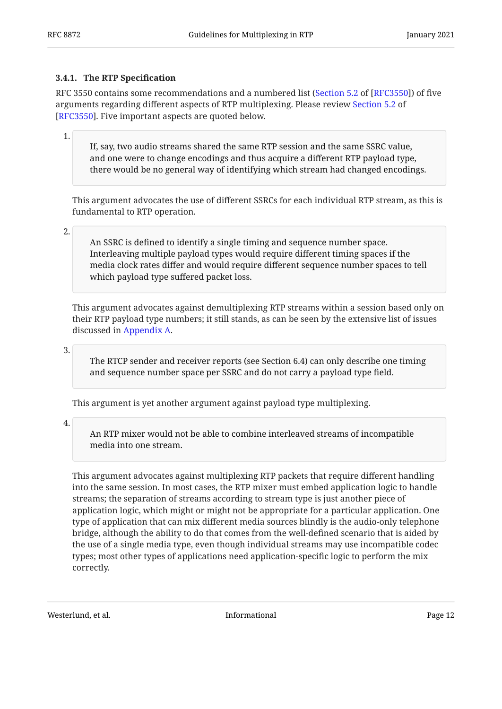#### <span id="page-11-0"></span>**[3.4.1. The RTP Speci](#page-11-0)fication**

RFC 3550 contains some recommendations and a numbered list ([Section 5.2](https://www.rfc-editor.org/rfc/rfc3550#section-5.2) of [\[RFC3550](#page-27-4)]) of five arguments regarding different aspects of RTP multiplexing. Please review [Section 5.2](https://www.rfc-editor.org/rfc/rfc3550#section-5.2) of [[RFC3550\]](#page-27-4). Five important aspects are quoted below.

1.

If, say, two audio streams shared the same RTP session and the same SSRC value, and one were to change encodings and thus acquire a different RTP payload type, there would be no general way of identifying which stream had changed encodings.

This argument advocates the use of different SSRCs for each individual RTP stream, as this is fundamental to RTP operation.

2.

An SSRC is defined to identify a single timing and sequence number space. Interleaving multiple payload types would require different timing spaces if the media clock rates differ and would require different sequence number spaces to tell which payload type suffered packet loss.

This argument advocates against demultiplexing RTP streams within a session based only on their RTP payload type numbers; it still stands, as can be seen by the extensive list of issues discussed in [Appendix A](#page-31-0).

3.

The RTCP sender and receiver reports (see Section 6.4) can only describe one timing and sequence number space per SSRC and do not carry a payload type field.

This argument is yet another argument against payload type multiplexing.

4.

An RTP mixer would not be able to combine interleaved streams of incompatible media into one stream.

This argument advocates against multiplexing RTP packets that require different handling into the same session. In most cases, the RTP mixer must embed application logic to handle streams; the separation of streams according to stream type is just another piece of application logic, which might or might not be appropriate for a particular application. One type of application that can mix different media sources blindly is the audio-only telephone bridge, although the ability to do that comes from the well-defined scenario that is aided by the use of a single media type, even though individual streams may use incompatible codec types; most other types of applications need application-specific logic to perform the mix correctly.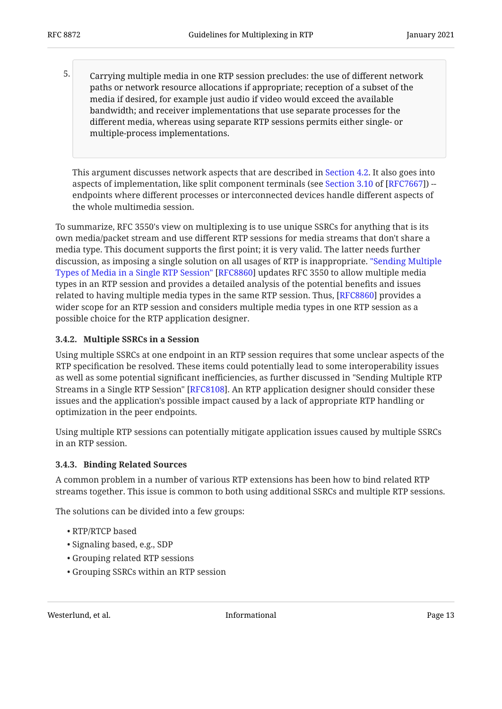Carrying multiple media in one RTP session precludes: the use of different network paths or network resource allocations if appropriate; reception of a subset of the media if desired, for example just audio if video would exceed the available bandwidth; and receiver implementations that use separate processes for the different media, whereas using separate RTP sessions permits either single- or multiple-process implementations. 5.

This argument discusses network aspects that are described in [Section 4.2.](#page-17-0) It also goes into aspects of implementation, like split component terminals (see Section 3.10 of [RFC7667]) -endpoints where different processes or interconnected devices handle different aspects of the whole multimedia session.

To summarize, RFC 3550's view on multiplexing is to use unique SSRCs for anything that is its own media/packet stream and use different RTP sessions for media streams that don't share a media type. This document supports the first point; it is very valid. The latter needs further discussion, as imposing a single solution on all usages of RTP is inappropriate. ["Sending Multiple](#page-28-7) [Types of Media in a Single RTP Session"](#page-28-7) [[RFC8860\]](#page-28-7) updates RFC 3550 to allow multiple media types in an RTP session and provides a detailed analysis of the potential benefits and issues related to having multiple media types in the same RTP session. Thus, [RFC8860] provides a wider scope for an RTP session and considers multiple media types in one RTP session as a possible choice for the RTP application designer.

### <span id="page-12-0"></span>**[3.4.2. Multiple SSRCs in a Session](#page-12-0)**

Using multiple SSRCs at one endpoint in an RTP session requires that some unclear aspects of the RTP specification be resolved. These items could potentially lead to some interoperability issues as well as some potential significant inefficiencies, as further discussed in "Sending Multiple RTP Streams in a Single RTP Session" [\[RFC8108](#page-31-3)]. An RTP application designer should consider these issues and the application's possible impact caused by a lack of appropriate RTP handling or optimization in the peer endpoints.

Using multiple RTP sessions can potentially mitigate application issues caused by multiple SSRCs in an RTP session.

### <span id="page-12-1"></span>**[3.4.3. Binding Related Sources](#page-12-1)**

A common problem in a number of various RTP extensions has been how to bind related RTP streams together. This issue is common to both using additional SSRCs and multiple RTP sessions.

The solutions can be divided into a few groups:

- RTP/RTCP based •
- Signaling based, e.g., SDP
- Grouping related RTP sessions •
- Grouping SSRCs within an RTP session •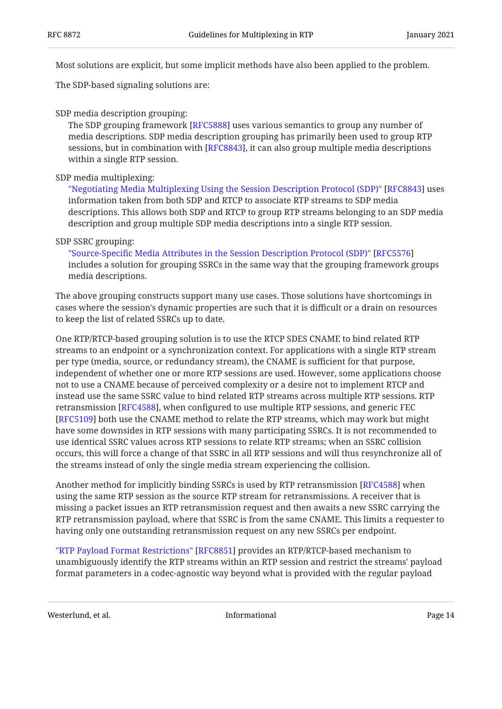Most solutions are explicit, but some implicit methods have also been applied to the problem.

The SDP-based signaling solutions are:

#### SDP media description grouping:

The SDP grouping framework [\[RFC5888](#page-30-3)] uses various semantics to group any number of media descriptions. SDP media description grouping has primarily been used to group RTP sessions, but in combination with [RFC8843], it can also group multiple media descriptions within a single RTP session.

#### SDP media multiplexing:

["Negotiating Media Multiplexing Using the Session Description Protocol \(SDP\)"](#page-28-4) [\[RFC8843](#page-28-4)] uses information taken from both SDP and RTCP to associate RTP streams to SDP media descriptions. This allows both SDP and RTCP to group RTP streams belonging to an SDP media description and group multiple SDP media descriptions into a single RTP session.

#### SDP SSRC grouping:

includes a solution for grouping SSRCs in the same way that the grouping framework groups media descriptions. "Source-Specifi[c Media Attributes in the Session Description Protocol \(SDP\)"](#page-28-3) [\[RFC5576](#page-28-3)]

The above grouping constructs support many use cases. Those solutions have shortcomings in cases where the session's dynamic properties are such that it is difficult or a drain on resources to keep the list of related SSRCs up to date.

One RTP/RTCP-based grouping solution is to use the RTCP SDES CNAME to bind related RTP streams to an endpoint or a synchronization context. For applications with a single RTP stream per type (media, source, or redundancy stream), the CNAME is sufficient for that purpose, independent of whether one or more RTP sessions are used. However, some applications choose not to use a CNAME because of perceived complexity or a desire not to implement RTCP and instead use the same SSRC value to bind related RTP streams across multiple RTP sessions. RTP retransmission [[RFC4588\]](#page-30-4), when configured to use multiple RTP sessions, and generic FEC  $\,$ [[RFC5109\]](#page-30-6) both use the CNAME method to relate the RTP streams, which may work but might have some downsides in RTP sessions with many participating SSRCs. It is not recommended to use identical SSRC values across RTP sessions to relate RTP streams; when an SSRC collision occurs, this will force a change of that SSRC in all RTP sessions and will thus resynchronize all of the streams instead of only the single media stream experiencing the collision.

Another method for implicitly binding SSRCs is used by RTP retransmission [RFC4588] when using the same RTP session as the source RTP stream for retransmissions. A receiver that is missing a packet issues an RTP retransmission request and then awaits a new SSRC carrying the RTP retransmission payload, where that SSRC is from the same CNAME. This limits a requester to having only one outstanding retransmission request on any new SSRCs per endpoint.

["RTP Payload Format Restrictions" \[RFC8851](#page-28-6)] provides an RTP/RTCP-based mechanism to unambiguously identify the RTP streams within an RTP session and restrict the streams' payload format parameters in a codec-agnostic way beyond what is provided with the regular payload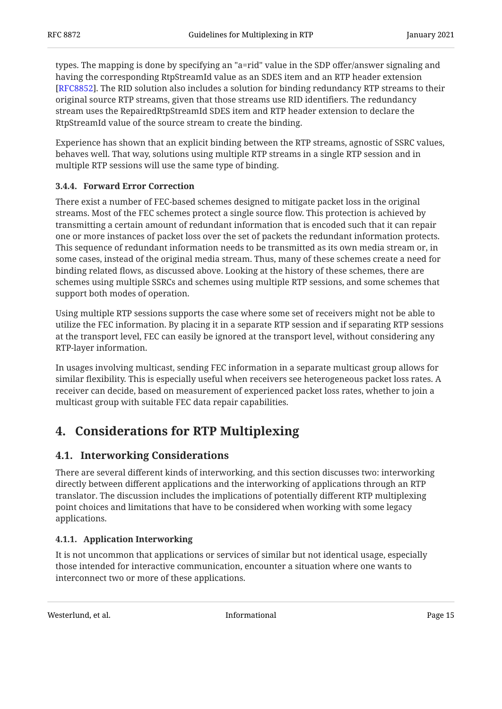types. The mapping is done by specifying an "a=rid" value in the SDP offer/answer signaling and having the corresponding RtpStreamId value as an SDES item and an RTP header extension [[RFC8852\]](#page-28-5). The RID solution also includes a solution for binding redundancy RTP streams to their original source RTP streams, given that those streams use RID identifiers. The redundancy stream uses the RepairedRtpStreamId SDES item and RTP header extension to declare the RtpStreamId value of the source stream to create the binding.

Experience has shown that an explicit binding between the RTP streams, agnostic of SSRC values, behaves well. That way, solutions using multiple RTP streams in a single RTP session and in multiple RTP sessions will use the same type of binding.

### <span id="page-14-0"></span>**[3.4.4. Forward Error Correction](#page-14-0)**

There exist a number of FEC-based schemes designed to mitigate packet loss in the original streams. Most of the FEC schemes protect a single source flow. This protection is achieved by transmitting a certain amount of redundant information that is encoded such that it can repair one or more instances of packet loss over the set of packets the redundant information protects. This sequence of redundant information needs to be transmitted as its own media stream or, in some cases, instead of the original media stream. Thus, many of these schemes create a need for binding related flows, as discussed above. Looking at the history of these schemes, there are schemes using multiple SSRCs and schemes using multiple RTP sessions, and some schemes that support both modes of operation.

Using multiple RTP sessions supports the case where some set of receivers might not be able to utilize the FEC information. By placing it in a separate RTP session and if separating RTP sessions at the transport level, FEC can easily be ignored at the transport level, without considering any RTP-layer information.

In usages involving multicast, sending FEC information in a separate multicast group allows for similar flexibility. This is especially useful when receivers see heterogeneous packet loss rates. A receiver can decide, based on measurement of experienced packet loss rates, whether to join a multicast group with suitable FEC data repair capabilities.

# <span id="page-14-2"></span><span id="page-14-1"></span>**[4. Considerations for RTP Multiplexing](#page-14-1)**

## **[4.1. Interworking Considerations](#page-14-2)**

There are several different kinds of interworking, and this section discusses two: interworking directly between different applications and the interworking of applications through an RTP translator. The discussion includes the implications of potentially different RTP multiplexing point choices and limitations that have to be considered when working with some legacy applications.

### <span id="page-14-3"></span>**[4.1.1. Application Interworking](#page-14-3)**

It is not uncommon that applications or services of similar but not identical usage, especially those intended for interactive communication, encounter a situation where one wants to interconnect two or more of these applications.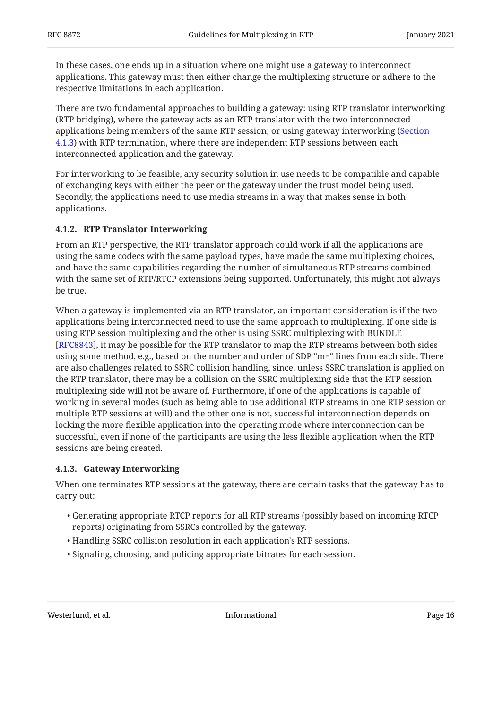In these cases, one ends up in a situation where one might use a gateway to interconnect applications. This gateway must then either change the multiplexing structure or adhere to the respective limitations in each application.

There are two fundamental approaches to building a gateway: using RTP translator interworking (RTP bridging), where the gateway acts as an RTP translator with the two interconnected applications being members of the same RTP session; or using gateway interworking ([Section](#page-15-1) [4.1.3\)](#page-15-1) with RTP termination, where there are independent RTP sessions between each interconnected application and the gateway.

For interworking to be feasible, any security solution in use needs to be compatible and capable of exchanging keys with either the peer or the gateway under the trust model being used. Secondly, the applications need to use media streams in a way that makes sense in both applications.

### <span id="page-15-0"></span>**[4.1.2. RTP Translator Interworking](#page-15-0)**

From an RTP perspective, the RTP translator approach could work if all the applications are using the same codecs with the same payload types, have made the same multiplexing choices, and have the same capabilities regarding the number of simultaneous RTP streams combined with the same set of RTP/RTCP extensions being supported. Unfortunately, this might not always be true.

When a gateway is implemented via an RTP translator, an important consideration is if the two applications being interconnected need to use the same approach to multiplexing. If one side is using RTP session multiplexing and the other is using SSRC multiplexing with BUNDLE [[RFC8843\]](#page-28-4), it may be possible for the RTP translator to map the RTP streams between both sides using some method, e.g., based on the number and order of SDP "m=" lines from each side. There are also challenges related to SSRC collision handling, since, unless SSRC translation is applied on the RTP translator, there may be a collision on the SSRC multiplexing side that the RTP session multiplexing side will not be aware of. Furthermore, if one of the applications is capable of working in several modes (such as being able to use additional RTP streams in one RTP session or multiple RTP sessions at will) and the other one is not, successful interconnection depends on locking the more flexible application into the operating mode where interconnection can be successful, even if none of the participants are using the less flexible application when the RTP sessions are being created.

### <span id="page-15-1"></span>**[4.1.3. Gateway Interworking](#page-15-1)**

When one terminates RTP sessions at the gateway, there are certain tasks that the gateway has to carry out:

- Generating appropriate RTCP reports for all RTP streams (possibly based on incoming RTCP reports) originating from SSRCs controlled by the gateway.
- Handling SSRC collision resolution in each application's RTP sessions. •
- Signaling, choosing, and policing appropriate bitrates for each session.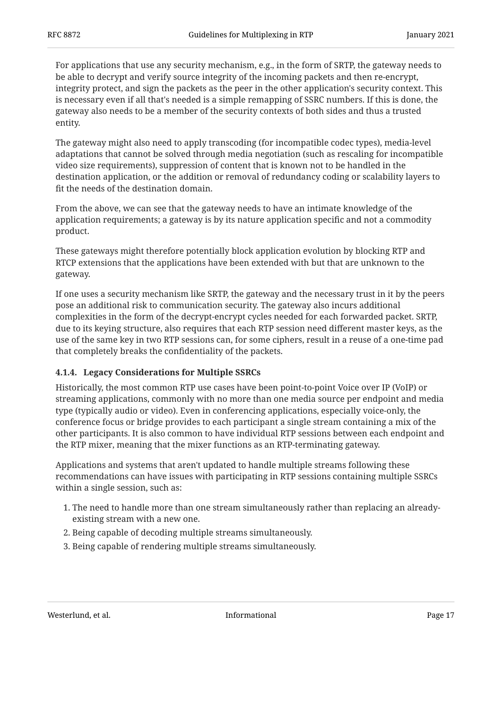For applications that use any security mechanism, e.g., in the form of SRTP, the gateway needs to be able to decrypt and verify source integrity of the incoming packets and then re-encrypt, integrity protect, and sign the packets as the peer in the other application's security context. This is necessary even if all that's needed is a simple remapping of SSRC numbers. If this is done, the gateway also needs to be a member of the security contexts of both sides and thus a trusted entity.

The gateway might also need to apply transcoding (for incompatible codec types), media-level adaptations that cannot be solved through media negotiation (such as rescaling for incompatible video size requirements), suppression of content that is known not to be handled in the destination application, or the addition or removal of redundancy coding or scalability layers to fit the needs of the destination domain.

From the above, we can see that the gateway needs to have an intimate knowledge of the application requirements; a gateway is by its nature application specific and not a commodity product.

These gateways might therefore potentially block application evolution by blocking RTP and RTCP extensions that the applications have been extended with but that are unknown to the gateway.

If one uses a security mechanism like SRTP, the gateway and the necessary trust in it by the peers pose an additional risk to communication security. The gateway also incurs additional complexities in the form of the decrypt-encrypt cycles needed for each forwarded packet. SRTP, due to its keying structure, also requires that each RTP session need different master keys, as the use of the same key in two RTP sessions can, for some ciphers, result in a reuse of a one-time pad that completely breaks the confidentiality of the packets.

### <span id="page-16-0"></span>**[4.1.4. Legacy Considerations for Multiple SSRCs](#page-16-0)**

Historically, the most common RTP use cases have been point-to-point Voice over IP (VoIP) or streaming applications, commonly with no more than one media source per endpoint and media type (typically audio or video). Even in conferencing applications, especially voice-only, the conference focus or bridge provides to each participant a single stream containing a mix of the other participants. It is also common to have individual RTP sessions between each endpoint and the RTP mixer, meaning that the mixer functions as an RTP-terminating gateway.

Applications and systems that aren't updated to handle multiple streams following these recommendations can have issues with participating in RTP sessions containing multiple SSRCs within a single session, such as:

- 1. The need to handle more than one stream simultaneously rather than replacing an alreadyexisting stream with a new one.
- 2. Being capable of decoding multiple streams simultaneously.
- Being capable of rendering multiple streams simultaneously. 3.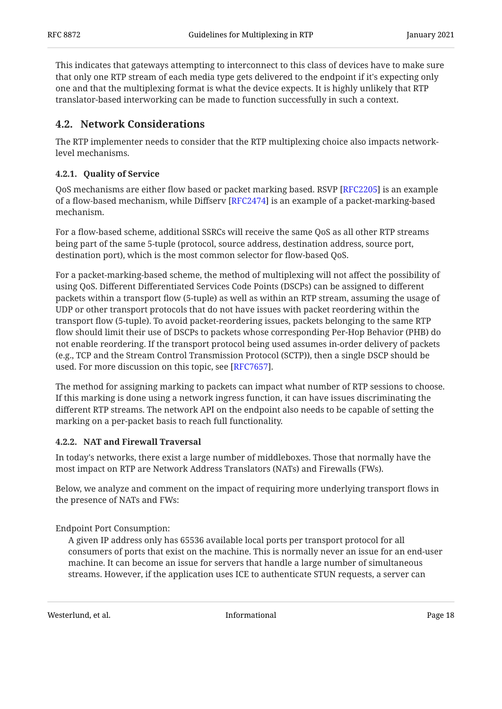This indicates that gateways attempting to interconnect to this class of devices have to make sure that only one RTP stream of each media type gets delivered to the endpoint if it's expecting only one and that the multiplexing format is what the device expects. It is highly unlikely that RTP translator-based interworking can be made to function successfully in such a context.

## <span id="page-17-0"></span>**[4.2. Network Considerations](#page-17-0)**

The RTP implementer needs to consider that the RTP multiplexing choice also impacts networklevel mechanisms.

### <span id="page-17-1"></span>**[4.2.1. Quality of Service](#page-17-1)**

QoS mechanisms are either flow based or packet marking based. RSVP [RFC2205] is an example of a flow-based mechanism, while Diffserv [RFC2474] is an example of a packet-marking-based mechanism.

For a flow-based scheme, additional SSRCs will receive the same QoS as all other RTP streams being part of the same 5-tuple (protocol, source address, destination address, source port, destination port), which is the most common selector for flow-based QoS.

For a packet-marking-based scheme, the method of multiplexing will not affect the possibility of using QoS. Different Differentiated Services Code Points (DSCPs) can be assigned to different packets within a transport flow (5-tuple) as well as within an RTP stream, assuming the usage of UDP or other transport protocols that do not have issues with packet reordering within the transport flow (5-tuple). To avoid packet-reordering issues, packets belonging to the same RTP flow should limit their use of DSCPs to packets whose corresponding Per-Hop Behavior (PHB) do not enable reordering. If the transport protocol being used assumes in‑order delivery of packets (e.g., TCP and the Stream Control Transmission Protocol (SCTP)), then a single DSCP should be used. For more discussion on this topic, see [\[RFC7657\]](#page-30-7).

The method for assigning marking to packets can impact what number of RTP sessions to choose. If this marking is done using a network ingress function, it can have issues discriminating the different RTP streams. The network API on the endpoint also needs to be capable of setting the marking on a per-packet basis to reach full functionality.

### <span id="page-17-2"></span>**[4.2.2. NAT and Firewall Traversal](#page-17-2)**

In today's networks, there exist a large number of middleboxes. Those that normally have the most impact on RTP are Network Address Translators (NATs) and Firewalls (FWs).

Below, we analyze and comment on the impact of requiring more underlying transport flows in the presence of NATs and FWs:

Endpoint Port Consumption:

A given IP address only has 65536 available local ports per transport protocol for all consumers of ports that exist on the machine. This is normally never an issue for an end-user machine. It can become an issue for servers that handle a large number of simultaneous streams. However, if the application uses ICE to authenticate STUN requests, a server can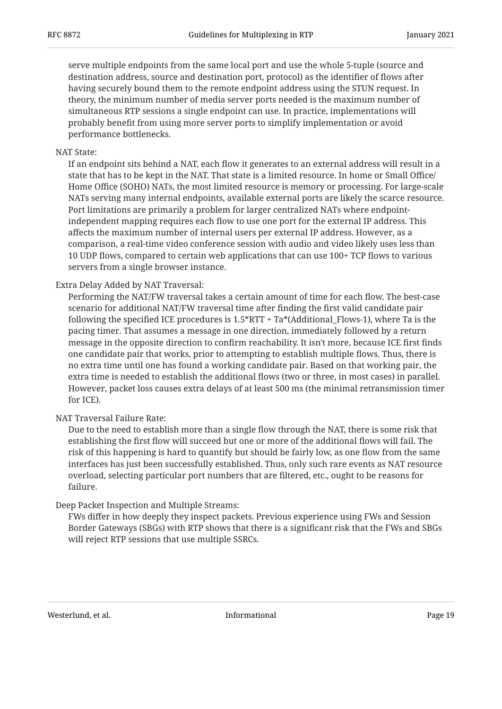serve multiple endpoints from the same local port and use the whole 5-tuple (source and destination address, source and destination port, protocol) as the identifier of flows after having securely bound them to the remote endpoint address using the STUN request. In theory, the minimum number of media server ports needed is the maximum number of simultaneous RTP sessions a single endpoint can use. In practice, implementations will probably benefit from using more server ports to simplify implementation or avoid performance bottlenecks.

#### NAT State:

If an endpoint sits behind a NAT, each flow it generates to an external address will result in a state that has to be kept in the NAT. That state is a limited resource. In home or Small Office/ Home Office (SOHO) NATs, the most limited resource is memory or processing. For large-scale NATs serving many internal endpoints, available external ports are likely the scarce resource. Port limitations are primarily a problem for larger centralized NATs where endpointindependent mapping requires each flow to use one port for the external IP address. This affects the maximum number of internal users per external IP address. However, as a comparison, a real-time video conference session with audio and video likely uses less than 10 UDP flows, compared to certain web applications that can use 100+ TCP flows to various servers from a single browser instance.

#### Extra Delay Added by NAT Traversal:

Performing the NAT/FW traversal takes a certain amount of time for each flow. The best-case scenario for additional NAT/FW traversal time after finding the first valid candidate pair following the specified ICE procedures is 1.5\*RTT + Ta\*(Additional\_Flows-1), where Ta is the pacing timer. That assumes a message in one direction, immediately followed by a return message in the opposite direction to confirm reachability. It isn't more, because ICE first finds one candidate pair that works, prior to attempting to establish multiple flows. Thus, there is no extra time until one has found a working candidate pair. Based on that working pair, the extra time is needed to establish the additional flows (two or three, in most cases) in parallel. However, packet loss causes extra delays of at least 500 ms (the minimal retransmission timer for ICE).

#### NAT Traversal Failure Rate:

Due to the need to establish more than a single flow through the NAT, there is some risk that establishing the first flow will succeed but one or more of the additional flows will fail. The risk of this happening is hard to quantify but should be fairly low, as one flow from the same interfaces has just been successfully established. Thus, only such rare events as NAT resource overload, selecting particular port numbers that are filtered, etc., ought to be reasons for failure.

#### Deep Packet Inspection and Multiple Streams:

FWs differ in how deeply they inspect packets. Previous experience using FWs and Session Border Gateways (SBGs) with RTP shows that there is a significant risk that the FWs and SBGs will reject RTP sessions that use multiple SSRCs.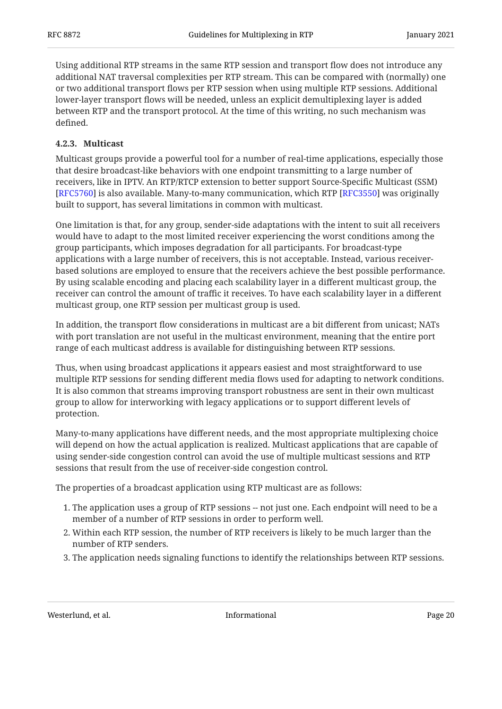Using additional RTP streams in the same RTP session and transport flow does not introduce any additional NAT traversal complexities per RTP stream. This can be compared with (normally) one or two additional transport flows per RTP session when using multiple RTP sessions. Additional lower-layer transport flows will be needed, unless an explicit demultiplexing layer is added between RTP and the transport protocol. At the time of this writing, no such mechanism was defined.

### <span id="page-19-0"></span>**[4.2.3. Multicast](#page-19-0)**

Multicast groups provide a powerful tool for a number of real-time applications, especially those that desire broadcast-like behaviors with one endpoint transmitting to a large number of receivers, like in IPTV. An RTP/RTCP extension to better support Source-Specific Multicast (SSM) [[RFC5760\]](#page-28-8) is also available. Many-to-many communication, which RTP [RFC3550] was originally built to support, has several limitations in common with multicast.

One limitation is that, for any group, sender-side adaptations with the intent to suit all receivers would have to adapt to the most limited receiver experiencing the worst conditions among the group participants, which imposes degradation for all participants. For broadcast-type applications with a large number of receivers, this is not acceptable. Instead, various receiverbased solutions are employed to ensure that the receivers achieve the best possible performance. By using scalable encoding and placing each scalability layer in a different multicast group, the receiver can control the amount of traffic it receives. To have each scalability layer in a different multicast group, one RTP session per multicast group is used.

In addition, the transport flow considerations in multicast are a bit different from unicast; NATs with port translation are not useful in the multicast environment, meaning that the entire port range of each multicast address is available for distinguishing between RTP sessions.

Thus, when using broadcast applications it appears easiest and most straightforward to use multiple RTP sessions for sending different media flows used for adapting to network conditions. It is also common that streams improving transport robustness are sent in their own multicast group to allow for interworking with legacy applications or to support different levels of protection.

Many-to-many applications have different needs, and the most appropriate multiplexing choice will depend on how the actual application is realized. Multicast applications that are capable of using sender-side congestion control can avoid the use of multiple multicast sessions and RTP sessions that result from the use of receiver-side congestion control.

The properties of a broadcast application using RTP multicast are as follows:

- 1. The application uses a group of RTP sessions -- not just one. Each endpoint will need to be a member of a number of RTP sessions in order to perform well.
- 2. Within each RTP session, the number of RTP receivers is likely to be much larger than the number of RTP senders.
- 3. The application needs signaling functions to identify the relationships between RTP sessions.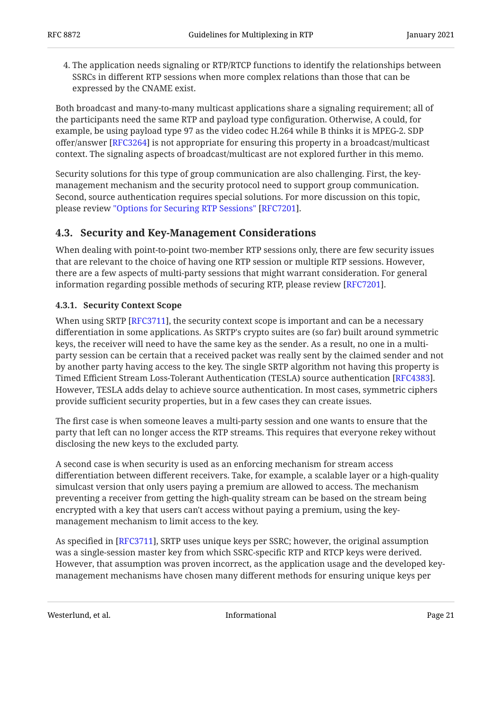4. The application needs signaling or RTP/RTCP functions to identify the relationships between SSRCs in different RTP sessions when more complex relations than those that can be expressed by the CNAME exist.

Both broadcast and many-to-many multicast applications share a signaling requirement; all of the participants need the same RTP and payload type configuration. Otherwise, A could, for example, be using payload type 97 as the video codec H.264 while B thinks it is MPEG-2. SDP offer/answer [\[RFC3264](#page-29-7)] is not appropriate for ensuring this property in a broadcast/multicast context. The signaling aspects of broadcast/multicast are not explored further in this memo.

Security solutions for this type of group communication are also challenging. First, the keymanagement mechanism and the security protocol need to support group communication. Second, source authentication requires special solutions. For more discussion on this topic, pleasereview "Options for Securing RTP Sessions" [RFC7201].

## <span id="page-20-0"></span>**[4.3. Security and Key-Management Considerations](#page-20-0)**

When dealing with point-to-point two-member RTP sessions only, there are few security issues that are relevant to the choice of having one RTP session or multiple RTP sessions. However, there are a few aspects of multi-party sessions that might warrant consideration. For general information regarding possible methods of securing RTP, please review [[RFC7201\]](#page-30-8).

### <span id="page-20-1"></span>**[4.3.1. Security Context Scope](#page-20-1)**

When using SRTP [[RFC3711\]](#page-28-9), the security context scope is important and can be a necessary differentiation in some applications. As SRTP's crypto suites are (so far) built around symmetric keys, the receiver will need to have the same key as the sender. As a result, no one in a multiparty session can be certain that a received packet was really sent by the claimed sender and not by another party having access to the key. The single SRTP algorithm not having this property is Timed Efficient Stream Loss-Tolerant Authentication (TESLA) source authentication [RFC4383]. However, TESLA adds delay to achieve source authentication. In most cases, symmetric ciphers provide sufficient security properties, but in a few cases they can create issues.

The first case is when someone leaves a multi-party session and one wants to ensure that the party that left can no longer access the RTP streams. This requires that everyone rekey without disclosing the new keys to the excluded party.

A second case is when security is used as an enforcing mechanism for stream access differentiation between different receivers. Take, for example, a scalable layer or a high-quality simulcast version that only users paying a premium are allowed to access. The mechanism preventing a receiver from getting the high-quality stream can be based on the stream being encrypted with a key that users can't access without paying a premium, using the keymanagement mechanism to limit access to the key.

As specified in [RFC3711], SRTP uses unique keys per SSRC; however, the original assumption was a single-session master key from which SSRC-specific RTP and RTCP keys were derived. However, that assumption was proven incorrect, as the application usage and the developed keymanagement mechanisms have chosen many different methods for ensuring unique keys per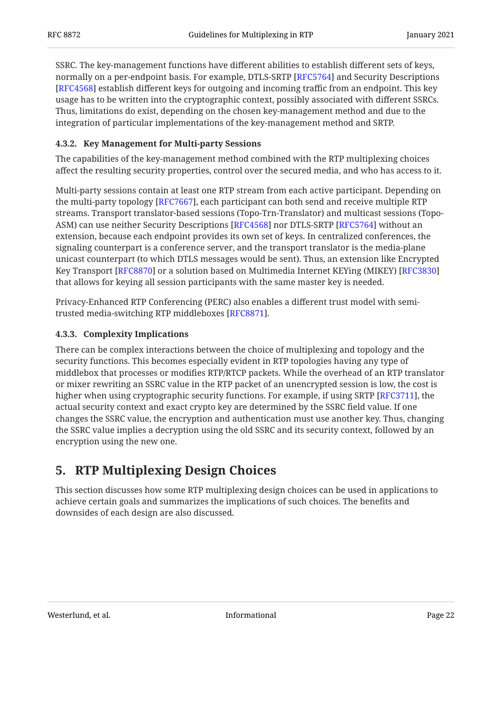SSRC. The key-management functions have different abilities to establish different sets of keys, normally on a per-endpoint basis. For example, DTLS-SRTP [RFC5764] and Security Descriptions [[RFC4568\]](#page-30-9) establish different keys for outgoing and incoming traffic from an endpoint. This key usage has to be written into the cryptographic context, possibly associated with different SSRCs. Thus, limitations do exist, depending on the chosen key-management method and due to the integration of particular implementations of the key-management method and SRTP.

### <span id="page-21-0"></span>**[4.3.2. Key Management for Multi-party Sessions](#page-21-0)**

The capabilities of the key-management method combined with the RTP multiplexing choices affect the resulting security properties, control over the secured media, and who has access to it.

Multi-party sessions contain at least one RTP stream from each active participant. Depending on the multi-party topology [RFC7667], each participant can both send and receive multiple RTP streams. Transport translator-based sessions (Topo-Trn-Translator) and multicast sessions (Topo-ASM) can use neither Security Descriptions [RFC4568] nor DTLS-SRTP [RFC5764] without an extension, because each endpoint provides its own set of keys. In centralized conferences, the signaling counterpart is a conference server, and the transport translator is the media-plane unicast counterpart (to which DTLS messages would be sent). Thus, an extension like Encrypted Key Transport [RFC8870] or a solution based on Multimedia Internet KEYing (MIKEY) [[RFC3830\]](#page-29-9) that allows for keying all session participants with the same master key is needed.

Privacy-Enhanced RTP Conferencing (PERC) also enables a different trust model with semi-trusted media-switching RTP middleboxes [\[RFC8871](#page-31-4)].

### <span id="page-21-1"></span>**[4.3.3. Complexity Implications](#page-21-1)**

There can be complex interactions between the choice of multiplexing and topology and the security functions. This becomes especially evident in RTP topologies having any type of middlebox that processes or modifies RTP/RTCP packets. While the overhead of an RTP translator or mixer rewriting an SSRC value in the RTP packet of an unencrypted session is low, the cost is higher when using cryptographic security functions. For example, if using SRTP [RFC3711], the actual security context and exact crypto key are determined by the SSRC field value. If one changes the SSRC value, the encryption and authentication must use another key. Thus, changing the SSRC value implies a decryption using the old SSRC and its security context, followed by an encryption using the new one.

# <span id="page-21-2"></span>**[5. RTP Multiplexing Design Choices](#page-21-2)**

This section discusses how some RTP multiplexing design choices can be used in applications to achieve certain goals and summarizes the implications of such choices. The benefits and downsides of each design are also discussed.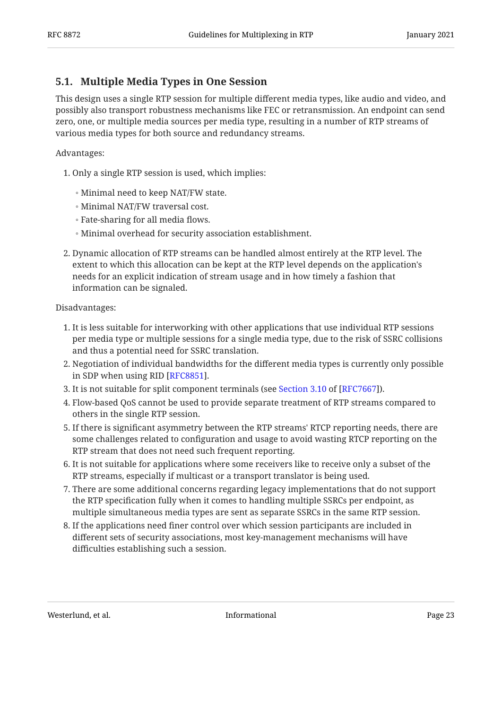### <span id="page-22-0"></span>**[5.1. Multiple Media Types in One Session](#page-22-0)**

This design uses a single RTP session for multiple different media types, like audio and video, and possibly also transport robustness mechanisms like FEC or retransmission. An endpoint can send zero, one, or multiple media sources per media type, resulting in a number of RTP streams of various media types for both source and redundancy streams.

Advantages:

- 1. Only a single RTP session is used, which implies:
	- Minimal need to keep NAT/FW state.
	- Minimal NAT/FW traversal cost.
	- Fate-sharing for all media flows.
	- Minimal overhead for security association establishment. ◦
- 2. Dynamic allocation of RTP streams can be handled almost entirely at the RTP level. The extent to which this allocation can be kept at the RTP level depends on the application's needs for an explicit indication of stream usage and in how timely a fashion that information can be signaled.

Disadvantages:

- 1. It is less suitable for interworking with other applications that use individual RTP sessions per media type or multiple sessions for a single media type, due to the risk of SSRC collisions and thus a potential need for SSRC translation.
- 2. Negotiation of individual bandwidths for the different media types is currently only possible in SDP when using RID [\[RFC8851](#page-28-6)].
- 3. It is not suitable for split component terminals (see Section  $3.10$  of [RFC7667]).
- Flow-based QoS cannot be used to provide separate treatment of RTP streams compared to 4. others in the single RTP session.
- 5. If there is significant asymmetry between the RTP streams' RTCP reporting needs, there are some challenges related to configuration and usage to avoid wasting RTCP reporting on the RTP stream that does not need such frequent reporting.
- 6. It is not suitable for applications where some receivers like to receive only a subset of the RTP streams, especially if multicast or a transport translator is being used.
- There are some additional concerns regarding legacy implementations that do not support 7. the RTP specification fully when it comes to handling multiple SSRCs per endpoint, as multiple simultaneous media types are sent as separate SSRCs in the same RTP session.
- 8. If the applications need finer control over which session participants are included in different sets of security associations, most key-management mechanisms will have difficulties establishing such a session.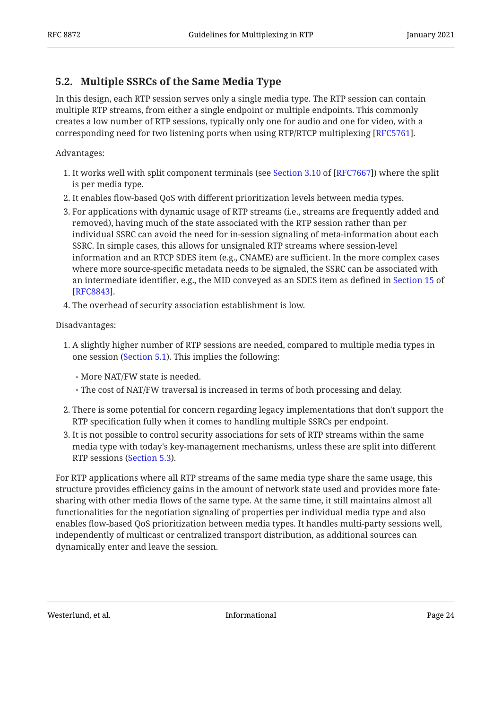### <span id="page-23-0"></span>**[5.2. Multiple SSRCs of the Same Media Type](#page-23-0)**

In this design, each RTP session serves only a single media type. The RTP session can contain multiple RTP streams, from either a single endpoint or multiple endpoints. This commonly creates a low number of RTP sessions, typically only one for audio and one for video, with a corresponding need for two listening ports when using RTP/RTCP multiplexing [RFC5761].

Advantages:

- 1.It works well with split component terminals (see Section 3.10 of [RFC7667]) where the split is per media type.
- It enables flow-based QoS with different prioritization levels between media types. 2.
- 3. For applications with dynamic usage of RTP streams (i.e., streams are frequently added and removed), having much of the state associated with the RTP session rather than per individual SSRC can avoid the need for in-session signaling of meta-information about each SSRC. In simple cases, this allows for unsignaled RTP streams where session-level information and an RTCP SDES item (e.g., CNAME) are sufficient. In the more complex cases where more source-specific metadata needs to be signaled, the SSRC can be associated with an intermediate identifier, e.g., the MID conveyed as an SDES item as defined in [Section 15](https://www.rfc-editor.org/rfc/rfc8843#section-15) of . [[RFC8843\]](#page-28-4)
- The overhead of security association establishment is low. 4.

Disadvantages:

A slightly higher number of RTP sessions are needed, compared to multiple media types in 1. one session [\(Section 5.1](#page-22-0)). This implies the following:

◦ More NAT/FW state is needed.

- The cost of NAT/FW traversal is increased in terms of both processing and delay. ◦
- 2. There is some potential for concern regarding legacy implementations that don't support the RTP specification fully when it comes to handling multiple SSRCs per endpoint.
- 3. It is not possible to control security associations for sets of RTP streams within the same media type with today's key-management mechanisms, unless these are split into different RTP sessions ([Section 5.3\)](#page-24-0).

For RTP applications where all RTP streams of the same media type share the same usage, this structure provides efficiency gains in the amount of network state used and provides more fatesharing with other media flows of the same type. At the same time, it still maintains almost all functionalities for the negotiation signaling of properties per individual media type and also enables flow-based QoS prioritization between media types. It handles multi-party sessions well, independently of multicast or centralized transport distribution, as additional sources can dynamically enter and leave the session.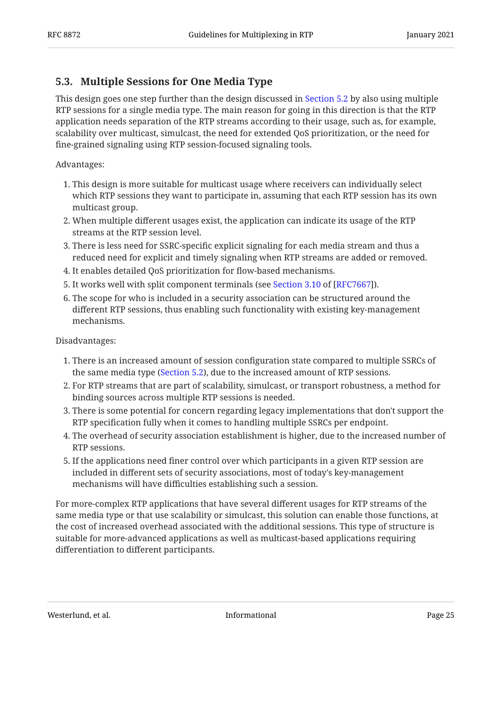## <span id="page-24-0"></span>**[5.3. Multiple Sessions for One Media Type](#page-24-0)**

This design goes one step further than the design discussed in [Section 5.2](#page-23-0) by also using multiple RTP sessions for a single media type. The main reason for going in this direction is that the RTP application needs separation of the RTP streams according to their usage, such as, for example, scalability over multicast, simulcast, the need for extended QoS prioritization, or the need for fine-grained signaling using RTP session-focused signaling tools.

Advantages:

- 1. This design is more suitable for multicast usage where receivers can individually select which RTP sessions they want to participate in, assuming that each RTP session has its own multicast group.
- 2. When multiple different usages exist, the application can indicate its usage of the RTP streams at the RTP session level.
- 3. There is less need for SSRC-specific explicit signaling for each media stream and thus a reduced need for explicit and timely signaling when RTP streams are added or removed.
- It enables detailed QoS prioritization for flow-based mechanisms. 4.
- 5. It works well with split component terminals (see [Section 3.10](https://www.rfc-editor.org/rfc/rfc7667#section-3.10) of [[RFC7667\]](#page-28-1)).
- 6. The scope for who is included in a security association can be structured around the different RTP sessions, thus enabling such functionality with existing key-management mechanisms.

Disadvantages:

- 1. There is an increased amount of session configuration state compared to multiple SSRCs of the same media type [\(Section 5.2](#page-23-0)), due to the increased amount of RTP sessions.
- 2. For RTP streams that are part of scalability, simulcast, or transport robustness, a method for binding sources across multiple RTP sessions is needed.
- 3. There is some potential for concern regarding legacy implementations that don't support the RTP specification fully when it comes to handling multiple SSRCs per endpoint.
- 4. The overhead of security association establishment is higher, due to the increased number of RTP sessions.
- 5. If the applications need finer control over which participants in a given RTP session are included in different sets of security associations, most of today's key-management mechanisms will have difficulties establishing such a session.

For more-complex RTP applications that have several different usages for RTP streams of the same media type or that use scalability or simulcast, this solution can enable those functions, at the cost of increased overhead associated with the additional sessions. This type of structure is suitable for more-advanced applications as well as multicast-based applications requiring differentiation to different participants.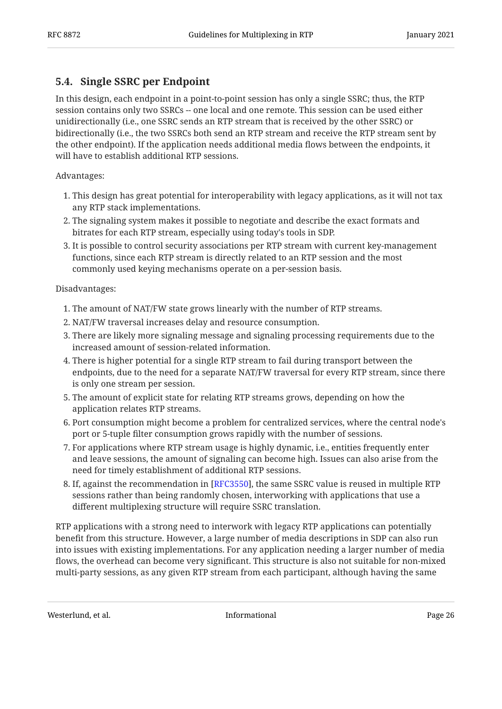### <span id="page-25-0"></span>**[5.4. Single SSRC per Endpoint](#page-25-0)**

In this design, each endpoint in a point-to-point session has only a single SSRC; thus, the RTP session contains only two SSRCs -- one local and one remote. This session can be used either unidirectionally (i.e., one SSRC sends an RTP stream that is received by the other SSRC) or bidirectionally (i.e., the two SSRCs both send an RTP stream and receive the RTP stream sent by the other endpoint). If the application needs additional media flows between the endpoints, it will have to establish additional RTP sessions.

Advantages:

- 1. This design has great potential for interoperability with legacy applications, as it will not tax any RTP stack implementations.
- 2. The signaling system makes it possible to negotiate and describe the exact formats and bitrates for each RTP stream, especially using today's tools in SDP.
- 3. It is possible to control security associations per RTP stream with current key-management functions, since each RTP stream is directly related to an RTP session and the most commonly used keying mechanisms operate on a per-session basis.

Disadvantages:

- 1. The amount of NAT/FW state grows linearly with the number of RTP streams.
- NAT/FW traversal increases delay and resource consumption. 2.
- 3. There are likely more signaling message and signaling processing requirements due to the increased amount of session-related information.
- 4. There is higher potential for a single RTP stream to fail during transport between the endpoints, due to the need for a separate NAT/FW traversal for every RTP stream, since there is only one stream per session.
- 5. The amount of explicit state for relating RTP streams grows, depending on how the application relates RTP streams.
- 6. Port consumption might become a problem for centralized services, where the central node's port or 5-tuple filter consumption grows rapidly with the number of sessions.
- For applications where RTP stream usage is highly dynamic, i.e., entities frequently enter 7. and leave sessions, the amount of signaling can become high. Issues can also arise from the need for timely establishment of additional RTP sessions.
- 8. If, against the recommendation in [[RFC3550\]](#page-27-4), the same SSRC value is reused in multiple RTP sessions rather than being randomly chosen, interworking with applications that use a different multiplexing structure will require SSRC translation.

RTP applications with a strong need to interwork with legacy RTP applications can potentially benefit from this structure. However, a large number of media descriptions in SDP can also run into issues with existing implementations. For any application needing a larger number of media flows, the overhead can become very significant. This structure is also not suitable for non-mixed multi-party sessions, as any given RTP stream from each participant, although having the same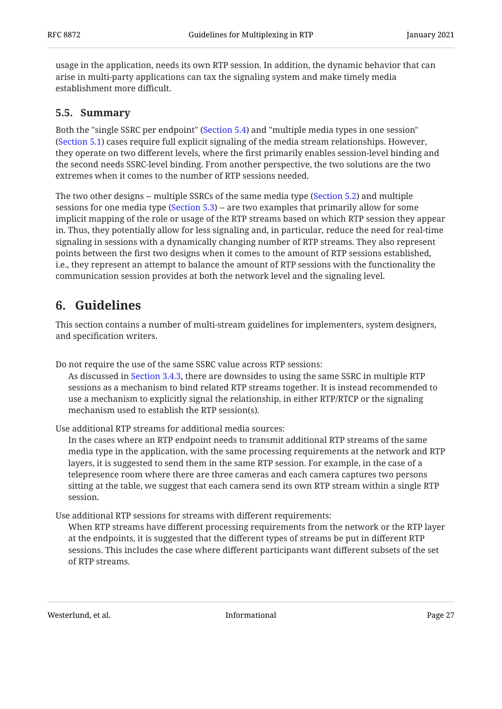usage in the application, needs its own RTP session. In addition, the dynamic behavior that can arise in multi-party applications can tax the signaling system and make timely media establishment more difficult.

## <span id="page-26-0"></span>**[5.5. Summary](#page-26-0)**

Both the "single SSRC per endpoint" [\(Section 5.4](#page-25-0)) and "multiple media types in one session" [\(Section 5.1](#page-22-0)) cases require full explicit signaling of the media stream relationships. However, they operate on two different levels, where the first primarily enables session-level binding and the second needs SSRC-level binding. From another perspective, the two solutions are the two extremes when it comes to the number of RTP sessions needed.

The two other designs -- multiple SSRCs of the same media type ([Section 5.2\)](#page-23-0) and multiple sessions for one media type [\(Section 5.3](#page-24-0)) -- are two examples that primarily allow for some implicit mapping of the role or usage of the RTP streams based on which RTP session they appear in. Thus, they potentially allow for less signaling and, in particular, reduce the need for real-time signaling in sessions with a dynamically changing number of RTP streams. They also represent points between the first two designs when it comes to the amount of RTP sessions established, i.e., they represent an attempt to balance the amount of RTP sessions with the functionality the communication session provides at both the network level and the signaling level.

## <span id="page-26-1"></span>**[6. Guidelines](#page-26-1)**

This section contains a number of multi-stream guidelines for implementers, system designers, and specification writers.

Do not require the use of the same SSRC value across RTP sessions:

As discussed in [Section 3.4.3,](#page-12-1) there are downsides to using the same SSRC in multiple RTP sessions as a mechanism to bind related RTP streams together. It is instead recommended to use a mechanism to explicitly signal the relationship, in either RTP/RTCP or the signaling mechanism used to establish the RTP session(s).

Use additional RTP streams for additional media sources:

In the cases where an RTP endpoint needs to transmit additional RTP streams of the same media type in the application, with the same processing requirements at the network and RTP layers, it is suggested to send them in the same RTP session. For example, in the case of a telepresence room where there are three cameras and each camera captures two persons sitting at the table, we suggest that each camera send its own RTP stream within a single RTP session.

Use additional RTP sessions for streams with different requirements:

When RTP streams have different processing requirements from the network or the RTP layer at the endpoints, it is suggested that the different types of streams be put in different RTP sessions. This includes the case where different participants want different subsets of the set of RTP streams.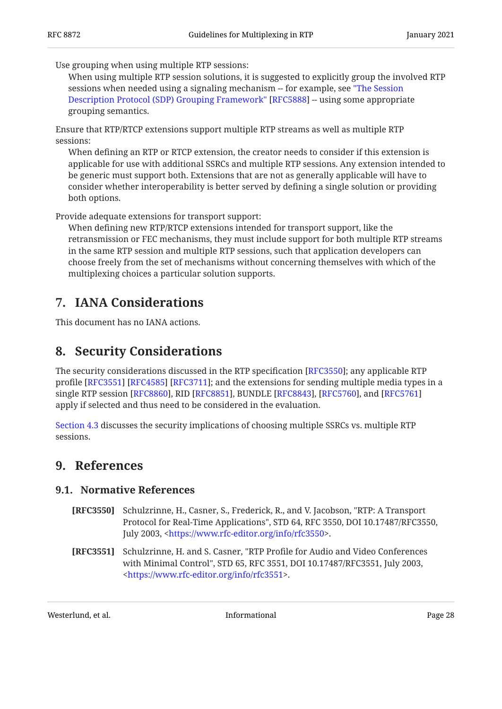Use grouping when using multiple RTP sessions:

When using multiple RTP session solutions, it is suggested to explicitly group the involved RTP sessions when needed using a signaling mechanism -- for example, see ["The Session](#page-30-3) [Description Protocol \(SDP\) Grouping Framework"](#page-30-3) [[RFC5888\]](#page-30-3) -- using some appropriate grouping semantics.

Ensure that RTP/RTCP extensions support multiple RTP streams as well as multiple RTP sessions:

When defining an RTP or RTCP extension, the creator needs to consider if this extension is applicable for use with additional SSRCs and multiple RTP sessions. Any extension intended to be generic must support both. Extensions that are not as generally applicable will have to consider whether interoperability is better served by defining a single solution or providing both options.

Provide adequate extensions for transport support:

When defining new RTP/RTCP extensions intended for transport support, like the retransmission or FEC mechanisms, they must include support for both multiple RTP streams in the same RTP session and multiple RTP sessions, such that application developers can choose freely from the set of mechanisms without concerning themselves with which of the multiplexing choices a particular solution supports.

# <span id="page-27-0"></span>**[7. IANA Considerations](#page-27-0)**

<span id="page-27-1"></span>This document has no IANA actions.

## **[8. Security Considerations](#page-27-1)**

The security considerations discussed in the RTP specification [[RFC3550\]](#page-27-4); any applicable RTP profile [[RFC3551\]](#page-27-5) [[RFC4585\]](#page-28-12) [\[RFC3711](#page-28-9)]; and the extensions for sending multiple media types in a single RTP session [RFC8860], RID [RFC8851], BUNDLE [RFC8843], [RFC5760], and [[RFC5761\]](#page-28-11) apply if selected and thus need to be considered in the evaluation.

<span id="page-27-2"></span>[Section 4.3](#page-20-0) discusses the security implications of choosing multiple SSRCs vs. multiple RTP sessions.

## <span id="page-27-3"></span>**[9. References](#page-27-2)**

### **[9.1. Normative References](#page-27-3)**

- <span id="page-27-4"></span>**[RFC3550]** , Schulzrinne, H., Casner, S., Frederick, R., and V. Jacobson "RTP: A Transport Protocol for Real-Time Applications", STD 64, RFC 3550, DOI 10.17487/RFC3550, July 2003, [<https://www.rfc-editor.org/info/rfc3550](https://www.rfc-editor.org/info/rfc3550)>.
- <span id="page-27-5"></span>**[RFC3551]** , Schulzrinne, H. and S. Casner "RTP Profile for Audio and Video Conferences with Minimal Control", STD 65, RFC 3551, DOI 10.17487/RFC3551, July 2003, . [<https://www.rfc-editor.org/info/rfc3551](https://www.rfc-editor.org/info/rfc3551)>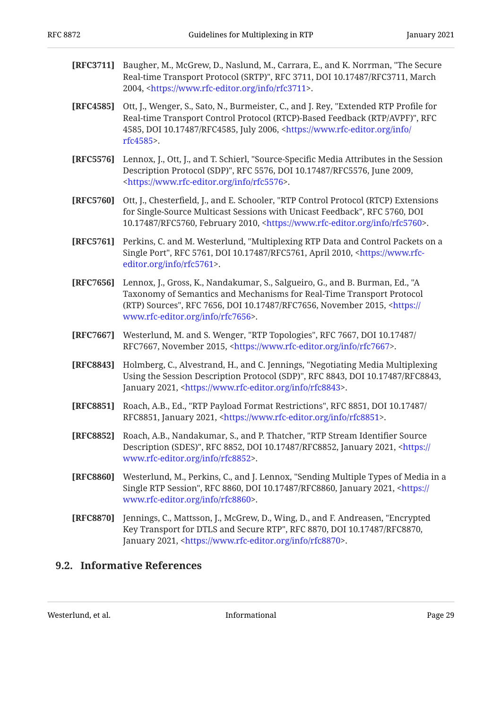<span id="page-28-12"></span><span id="page-28-11"></span><span id="page-28-9"></span><span id="page-28-8"></span><span id="page-28-3"></span>

| [RFC3711] | Baugher, M., McGrew, D., Naslund, M., Carrara, E., and K. Norrman, "The Secure<br>Real-time Transport Protocol (SRTP)", RFC 3711, DOI 10.17487/RFC3711, March<br>2004, <https: info="" rfc3711="" www.rfc-editor.org="">.</https:>                                                   |
|-----------|--------------------------------------------------------------------------------------------------------------------------------------------------------------------------------------------------------------------------------------------------------------------------------------|
| [RFC4585] | Ott, J., Wenger, S., Sato, N., Burmeister, C., and J. Rey, "Extended RTP Profile for<br>Real-time Transport Control Protocol (RTCP)-Based Feedback (RTP/AVPF)", RFC<br>4585, DOI 10.17487/RFC4585, July 2006, <https: <br="" info="" www.rfc-editor.org="">rfc4585&gt;.</https:>     |
| [RFC5576] | Lennox, J., Ott, J., and T. Schierl, "Source-Specific Media Attributes in the Session<br>Description Protocol (SDP)", RFC 5576, DOI 10.17487/RFC5576, June 2009,<br><https: info="" rfc5576="" www.rfc-editor.org="">.</https:>                                                      |
| [RFC5760] | Ott, J., Chesterfield, J., and E. Schooler, "RTP Control Protocol (RTCP) Extensions<br>for Single-Source Multicast Sessions with Unicast Feedback", RFC 5760, DOI<br>10.17487/RFC5760, February 2010, <https: info="" rfc5760="" www.rfc-editor.org="">.</https:>                    |
| [RFC5761] | Perkins, C. and M. Westerlund, "Multiplexing RTP Data and Control Packets on a<br>Single Port", RFC 5761, DOI 10.17487/RFC5761, April 2010, <https: www.rfc-<br="">editor.org/info/rfc5761&gt;.</https:>                                                                             |
| [RFC7656] | Lennox, J., Gross, K., Nandakumar, S., Salgueiro, G., and B. Burman, Ed., "A<br>Taxonomy of Semantics and Mechanisms for Real-Time Transport Protocol<br>(RTP) Sources", RFC 7656, DOI 10.17487/RFC7656, November 2015, <https: <br="">www.rfc-editor.org/info/rfc7656&gt;.</https:> |
| [RFC7667] | Westerlund, M. and S. Wenger, "RTP Topologies", RFC 7667, DOI 10.17487/<br>RFC7667, November 2015, <https: info="" rfc7667="" www.rfc-editor.org="">.</https:>                                                                                                                       |
| [RFC8843] | Holmberg, C., Alvestrand, H., and C. Jennings, "Negotiating Media Multiplexing<br>Using the Session Description Protocol (SDP)", RFC 8843, DOI 10.17487/RFC8843,<br>January 2021, <https: info="" rfc8843="" www.rfc-editor.org="">.</https:>                                        |
| [RFC8851] | Roach, A.B., Ed., "RTP Payload Format Restrictions", RFC 8851, DOI 10.17487/<br>RFC8851, January 2021, <https: info="" rfc8851="" www.rfc-editor.org="">.</https:>                                                                                                                   |
| [RFC8852] | Roach, A.B., Nandakumar, S., and P. Thatcher, "RTP Stream Identifier Source<br>Description (SDES)", RFC 8852, DOI 10.17487/RFC8852, January 2021, <https: <="" td=""></https:>                                                                                                       |

<span id="page-28-7"></span><span id="page-28-6"></span><span id="page-28-5"></span><span id="page-28-4"></span><span id="page-28-2"></span><span id="page-28-1"></span>**[RFC8860]** Westerlund, M., Perkins, C., and J. Lennox, "Sending Multiple Types of Media in a Single RTP Session", RFC 8860, DOI 10.17487/RFC8860, January 2021, [<https://](https://www.rfc-editor.org/info/rfc8860) . [www.rfc-editor.org/info/rfc8860>](https://www.rfc-editor.org/info/rfc8860)

. [www.rfc-editor.org/info/rfc8852>](https://www.rfc-editor.org/info/rfc8852)

<span id="page-28-10"></span>**[RFC8870]** Jennings, C., Mattsson, J., McGrew, D., Wing, D., and F. Andreasen, "Encrypted Key Transport for DTLS and Secure RTP", RFC 8870, DOI 10.17487/RFC8870, January 2021, <https://www.rfc-editor.org/info/rfc8870>.

## <span id="page-28-0"></span>**[9.2. Informative References](#page-28-0)**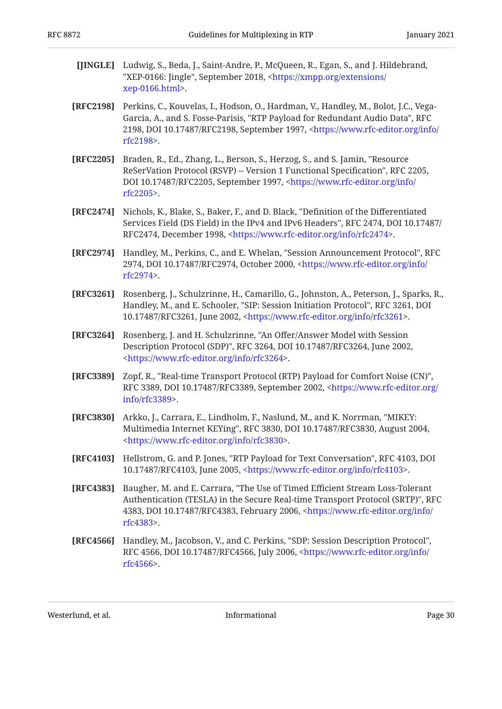<span id="page-29-11"></span><span id="page-29-7"></span><span id="page-29-6"></span><span id="page-29-5"></span><span id="page-29-3"></span><span id="page-29-1"></span><span id="page-29-0"></span>

| [JINGLE]  | Ludwig, S., Beda, J., Saint-Andre, P., McQueen, R., Egan, S., and J. Hildebrand,<br>"XEP-0166: Jingle", September 2018, <https: <br="" extensions="" xmpp.org="">xep-0166.html&gt;.</https:>                                                                                           |
|-----------|----------------------------------------------------------------------------------------------------------------------------------------------------------------------------------------------------------------------------------------------------------------------------------------|
| [RFC2198] | Perkins, C., Kouvelas, I., Hodson, O., Hardman, V., Handley, M., Bolot, J.C., Vega-<br>Garcia, A., and S. Fosse-Parisis, "RTP Payload for Redundant Audio Data", RFC<br>2198, DOI 10.17487/RFC2198, September 1997, <https: <br="" info="" www.rfc-editor.org="">rfc2198&gt;.</https:> |
| [RFC2205] | Braden, R., Ed., Zhang, L., Berson, S., Herzog, S., and S. Jamin, "Resource<br>ReSerVation Protocol (RSVP) -- Version 1 Functional Specification", RFC 2205,<br>DOI 10.17487/RFC2205, September 1997, <https: <br="" info="" www.rfc-editor.org="">rfc2205&gt;.</https:>               |
| [RFC2474] | Nichols, K., Blake, S., Baker, F., and D. Black, "Definition of the Differentiated<br>Services Field (DS Field) in the IPv4 and IPv6 Headers", RFC 2474, DOI 10.17487/<br>RFC2474, December 1998, <https: info="" rfc2474="" www.rfc-editor.org="">.</https:>                          |
| [RFC2974] | Handley, M., Perkins, C., and E. Whelan, "Session Announcement Protocol", RFC<br>2974, DOI 10.17487/RFC2974, October 2000, <https: <br="" info="" www.rfc-editor.org="">rfc2974&gt;.</https:>                                                                                          |
| [RFC3261] | Rosenberg, J., Schulzrinne, H., Camarillo, G., Johnston, A., Peterson, J., Sparks, R.,<br>Handley, M., and E. Schooler, "SIP: Session Initiation Protocol", RFC 3261, DOI<br>10.17487/RFC3261, June 2002, <https: info="" rfc3261="" www.rfc-editor.org="">.</https:>                  |
| [RFC3264] | Rosenberg, J. and H. Schulzrinne, "An Offer/Answer Model with Session<br>Description Protocol (SDP)", RFC 3264, DOI 10.17487/RFC3264, June 2002,<br><https: info="" rfc3264="" www.rfc-editor.org="">.</https:>                                                                        |
| [RFC3389] | Zopf, R., "Real-time Transport Protocol (RTP) Payload for Comfort Noise (CN)",<br>RFC 3389, DOI 10.17487/RFC3389, September 2002, <https: <br="" www.rfc-editor.org="">info/rfc3389&gt;.</https:>                                                                                      |
| [RFC3830] | Arkko, J., Carrara, E., Lindholm, F., Naslund, M., and K. Norrman, "MIKEY:<br>Multimedia Internet KEYing", RFC 3830, DOI 10.17487/RFC3830, August 2004,<br><https: info="" rfc3830="" www.rfc-editor.org="">.</https:>                                                                 |
| [RFC4103] | Hellstrom, G. and P. Jones, "RTP Payload for Text Conversation", RFC 4103, DOI<br>10.17487/RFC4103, June 2005, <https: info="" rfc4103="" www.rfc-editor.org="">.</https:>                                                                                                             |
| [RFC4383] | Baugher, M. and E. Carrara, "The Use of Timed Efficient Stream Loss-Tolerant<br>Authentication (TESLA) in the Secure Real-time Transport Protocol (SRTP)", RFC<br>4383, DOI 10.17487/RFC4383, February 2006, <https: <br="" info="" www.rfc-editor.org="">rfc4383&gt;.</https:>        |
| [RFC4566] | Handley, M., Jacobson, V., and C. Perkins, "SDP: Session Description Protocol",<br>RFC 4566, DOI 10.17487/RFC4566, July 2006, <https: <br="" info="" www.rfc-editor.org="">rfc4566&gt;.</https:>                                                                                       |

<span id="page-29-10"></span><span id="page-29-9"></span><span id="page-29-8"></span><span id="page-29-4"></span><span id="page-29-2"></span>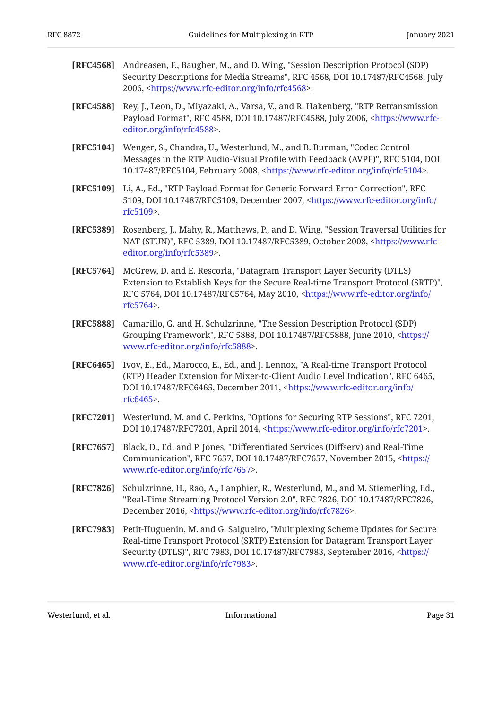<span id="page-30-9"></span>

| <b>[RFC4568]</b> Andreasen, F., Baugher, M., and D. Wing, "Session Description Protocol (SDP) |
|-----------------------------------------------------------------------------------------------|
| Security Descriptions for Media Streams", RFC 4568, DOI 10.17487/RFC4568, July                |
| 2006, <https: info="" rfc4568="" www.rfc-editor.org="">.</https:>                             |

- <span id="page-30-4"></span>**[RFC4588]** Rey, J., Leon, D., Miyazaki, A., Varsa, V., and R. Hakenberg, "RTP Retransmission Payload Format", RFC 4588, DOI 10.17487/RFC4588, July 2006, <[https://www.rfc-](https://www.rfc-editor.org/info/rfc4588). [editor.org/info/rfc4588>](https://www.rfc-editor.org/info/rfc4588)
- <span id="page-30-10"></span>**[RFC5104]** Wenger, S., Chandra, U., Westerlund, M., and B. Burman, "Codec Control Messages in the RTP Audio-Visual Profile with Feedback (AVPF)", RFC 5104, DOI 10.17487/RFC5104, February 2008, <https://www.rfc-editor.org/info/rfc5104>.
- <span id="page-30-6"></span>**[RFC5109]** Li, A., Ed., "RTP Payload Format for Generic Forward Error Correction", RFC 5109, DOI 10.17487/RFC5109, December 2007, [<https://www.rfc-editor.org/info/](https://www.rfc-editor.org/info/rfc5109) . [rfc5109>](https://www.rfc-editor.org/info/rfc5109)
- <span id="page-30-0"></span>**[RFC5389]** Rosenberg, J., Mahy, R., Matthews, P., and D. Wing, "Session Traversal Utilities for NAT (STUN)", RFC 5389, DOI 10.17487/RFC5389, October 2008, <[https://www.rfc-](https://www.rfc-editor.org/info/rfc5389). [editor.org/info/rfc5389>](https://www.rfc-editor.org/info/rfc5389)
- <span id="page-30-1"></span>**[RFC5764]** McGrew, D. and E. Rescorla, "Datagram Transport Layer Security (DTLS) , Extension to Establish Keys for the Secure Real-time Transport Protocol (SRTP)" RFC 5764, DOI 10.17487/RFC5764, May 2010, [<https://www.rfc-editor.org/info/](https://www.rfc-editor.org/info/rfc5764) . [rfc5764>](https://www.rfc-editor.org/info/rfc5764)
- <span id="page-30-3"></span>**[RFC5888]** , Camarillo, G. and H. Schulzrinne "The Session Description Protocol (SDP) Grouping Framework", RFC 5888, DOI 10.17487/RFC5888, June 2010, [<https://](https://www.rfc-editor.org/info/rfc5888) . [www.rfc-editor.org/info/rfc5888>](https://www.rfc-editor.org/info/rfc5888)
- <span id="page-30-5"></span>**[RFC6465]** , Ivov, E., Ed., Marocco, E., Ed., and J. Lennox "A Real-time Transport Protocol (RTP) Header Extension for Mixer-to-Client Audio Level Indication", RFC 6465, DOI 10.17487/RFC6465, December 2011, <[https://www.rfc-editor.org/info/](https://www.rfc-editor.org/info/rfc6465) . [rfc6465>](https://www.rfc-editor.org/info/rfc6465)
- <span id="page-30-8"></span>**[RFC7201]** Westerlund, M. and C. Perkins, "Options for Securing RTP Sessions", RFC 7201, DOI 10.17487/RFC7201, April 2014, [<https://www.rfc-editor.org/info/rfc7201](https://www.rfc-editor.org/info/rfc7201)>.
- <span id="page-30-7"></span>**[RFC7657]** , Black, D., Ed. and P. Jones "Differentiated Services (Diffserv) and Real-Time Communication", RFC 7657, DOI 10.17487/RFC7657, November 2015, [<https://](https://www.rfc-editor.org/info/rfc7657) . [www.rfc-editor.org/info/rfc7657>](https://www.rfc-editor.org/info/rfc7657)
- <span id="page-30-11"></span>**[RFC7826]** , Schulzrinne, H., Rao, A., Lanphier, R., Westerlund, M., and M. Stiemerling, Ed. "Real-Time Streaming Protocol Version 2.0", RFC 7826, DOI 10.17487/RFC7826, December 2016, [<https://www.rfc-editor.org/info/rfc7826](https://www.rfc-editor.org/info/rfc7826)>.
- <span id="page-30-2"></span>**[RFC7983]** Petit-Huguenin, M. and G. Salgueiro, "Multiplexing Scheme Updates for Secure Security (DTLS)", RFC 7983, DOI 10.17487/RFC7983, September 2016, <[https://](https://www.rfc-editor.org/info/rfc7983) . [www.rfc-editor.org/info/rfc7983>](https://www.rfc-editor.org/info/rfc7983) Real-time Transport Protocol (SRTP) Extension for Datagram Transport Layer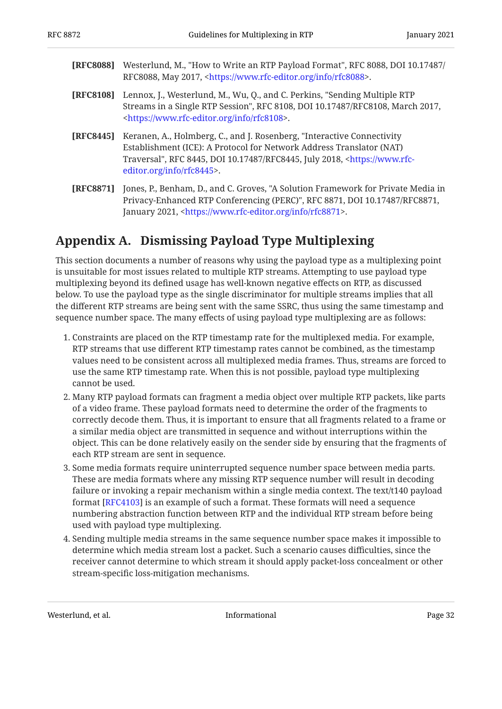<span id="page-31-3"></span><span id="page-31-2"></span><span id="page-31-1"></span>

| [RFC8088] | Westerlund, M., "How to Write an RTP Payload Format", RFC 8088, DOI 10.17487/<br>RFC8088, May 2017, <https: info="" rfc8088="" www.rfc-editor.org="">.</https:>                                                                                                       |
|-----------|-----------------------------------------------------------------------------------------------------------------------------------------------------------------------------------------------------------------------------------------------------------------------|
| [RFC8108] | Lennox, J., Westerlund, M., Wu, Q., and C. Perkins, "Sending Multiple RTP<br>Streams in a Single RTP Session", RFC 8108, DOI 10.17487/RFC8108, March 2017,<br><https: info="" rfc8108="" www.rfc-editor.org="">.</https:>                                             |
| [RFC8445] | Keranen, A., Holmberg, C., and J. Rosenberg, "Interactive Connectivity<br>Establishment (ICE): A Protocol for Network Address Translator (NAT)<br>Traversal", RFC 8445, DOI 10.17487/RFC8445, July 2018, <https: www.rfc-<br="">editor.org/info/rfc8445&gt;.</https:> |
| [RFC8871] | Jones, P., Benham, D., and C. Groves, "A Solution Framework for Private Media in<br>Privacy-Enhanced RTP Conferencing (PERC)", RFC 8871, DOI 10.17487/RFC8871,<br>January 2021, <https: info="" rfc8871="" www.rfc-editor.org="">.</https:>                           |

# <span id="page-31-4"></span><span id="page-31-0"></span>**[Appendix A. Dismissing Payload Type Multiplexing](#page-31-0)**

This section documents a number of reasons why using the payload type as a multiplexing point is unsuitable for most issues related to multiple RTP streams. Attempting to use payload type multiplexing beyond its defined usage has well-known negative effects on RTP, as discussed below. To use the payload type as the single discriminator for multiple streams implies that all the different RTP streams are being sent with the same SSRC, thus using the same timestamp and sequence number space. The many effects of using payload type multiplexing are as follows:

- 1. Constraints are placed on the RTP timestamp rate for the multiplexed media. For example, RTP streams that use different RTP timestamp rates cannot be combined, as the timestamp values need to be consistent across all multiplexed media frames. Thus, streams are forced to use the same RTP timestamp rate. When this is not possible, payload type multiplexing cannot be used.
- 2. Many RTP payload formats can fragment a media object over multiple RTP packets, like parts of a video frame. These payload formats need to determine the order of the fragments to correctly decode them. Thus, it is important to ensure that all fragments related to a frame or a similar media object are transmitted in sequence and without interruptions within the object. This can be done relatively easily on the sender side by ensuring that the fragments of each RTP stream are sent in sequence.
- 3. Some media formats require uninterrupted sequence number space between media parts. These are media formats where any missing RTP sequence number will result in decoding failure or invoking a repair mechanism within a single media context. The text/t140 payload format [[RFC4103\]](#page-29-10) is an example of such a format. These formats will need a sequence numbering abstraction function between RTP and the individual RTP stream before being used with payload type multiplexing.
- 4. Sending multiple media streams in the same sequence number space makes it impossible to determine which media stream lost a packet. Such a scenario causes difficulties, since the receiver cannot determine to which stream it should apply packet-loss concealment or other stream-specific loss-mitigation mechanisms.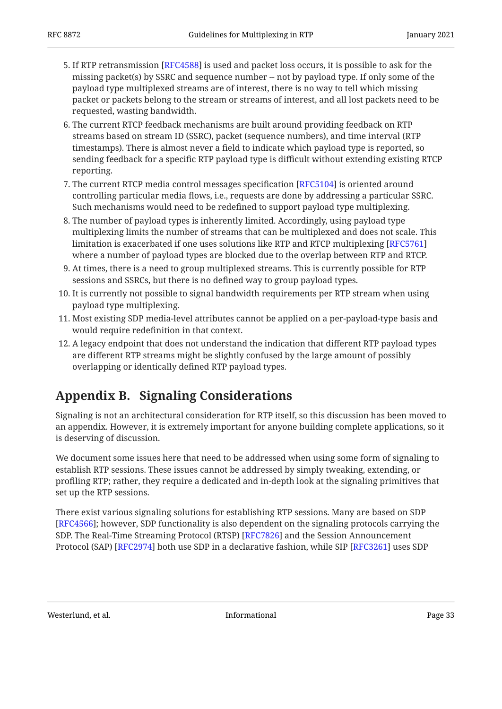- 5. If RTP retransmission [[RFC4588\]](#page-30-4) is used and packet loss occurs, it is possible to ask for the missing packet(s) by SSRC and sequence number -- not by payload type. If only some of the payload type multiplexed streams are of interest, there is no way to tell which missing packet or packets belong to the stream or streams of interest, and all lost packets need to be requested, wasting bandwidth.
- 6. The current RTCP feedback mechanisms are built around providing feedback on RTP streams based on stream ID (SSRC), packet (sequence numbers), and time interval (RTP timestamps). There is almost never a field to indicate which payload type is reported, so sending feedback for a specific RTP payload type is difficult without extending existing RTCP reporting.
- 7. The current RTCP media control messages specification [RFC5104] is oriented around controlling particular media flows, i.e., requests are done by addressing a particular SSRC. Such mechanisms would need to be redefined to support payload type multiplexing.
- 8. The number of payload types is inherently limited. Accordingly, using payload type multiplexing limits the number of streams that can be multiplexed and does not scale. This limitation is exacerbated if one uses solutions like RTP and RTCP multiplexing [[RFC5761\]](#page-28-11) where a number of payload types are blocked due to the overlap between RTP and RTCP.
- At times, there is a need to group multiplexed streams. This is currently possible for RTP 9. sessions and SSRCs, but there is no defined way to group payload types.
- 10. It is currently not possible to signal bandwidth requirements per RTP stream when using payload type multiplexing.
- 11. Most existing SDP media-level attributes cannot be applied on a per-payload-type basis and would require redefinition in that context.
- 12. A legacy endpoint that does not understand the indication that different RTP payload types are different RTP streams might be slightly confused by the large amount of possibly overlapping or identically defined RTP payload types.

# <span id="page-32-0"></span>**[Appendix B. Signaling Considerations](#page-32-0)**

Signaling is not an architectural consideration for RTP itself, so this discussion has been moved to an appendix. However, it is extremely important for anyone building complete applications, so it is deserving of discussion.

We document some issues here that need to be addressed when using some form of signaling to establish RTP sessions. These issues cannot be addressed by simply tweaking, extending, or profiling RTP; rather, they require a dedicated and in-depth look at the signaling primitives that set up the RTP sessions.

There exist various signaling solutions for establishing RTP sessions. Many are based on SDP [[RFC4566\]](#page-29-2); however, SDP functionality is also dependent on the signaling protocols carrying the SDP. The Real-Time Streaming Protocol (RTSP) [RFC7826] and the Session Announcement Protocol (SAP) [[RFC2974\]](#page-29-11) both use SDP in a declarative fashion, while SIP [RFC3261] uses SDP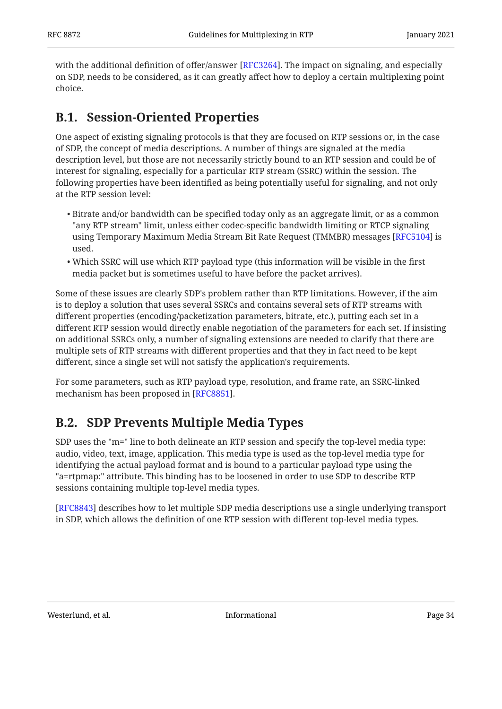with the additional definition of offer/answer [RFC3264]. The impact on signaling, and especially on SDP, needs to be considered, as it can greatly affect how to deploy a certain multiplexing point choice.

# <span id="page-33-0"></span>**[B.1. Session-Oriented Properties](#page-33-0)**

One aspect of existing signaling protocols is that they are focused on RTP sessions or, in the case of SDP, the concept of media descriptions. A number of things are signaled at the media description level, but those are not necessarily strictly bound to an RTP session and could be of interest for signaling, especially for a particular RTP stream (SSRC) within the session. The following properties have been identified as being potentially useful for signaling, and not only at the RTP session level:

- $\bullet$  Bitrate and/or bandwidth can be specified today only as an aggregate limit, or as a common "any RTP stream" limit, unless either codec-specific bandwidth limiting or RTCP signaling using Temporary Maximum Media Stream Bit Rate Request (TMMBR) messages [[RFC5104\]](#page-30-10) is used.
- Which SSRC will use which RTP payload type (this information will be visible in the first media packet but is sometimes useful to have before the packet arrives).

Some of these issues are clearly SDP's problem rather than RTP limitations. However, if the aim is to deploy a solution that uses several SSRCs and contains several sets of RTP streams with different properties (encoding/packetization parameters, bitrate, etc.), putting each set in a different RTP session would directly enable negotiation of the parameters for each set. If insisting on additional SSRCs only, a number of signaling extensions are needed to clarify that there are multiple sets of RTP streams with different properties and that they in fact need to be kept different, since a single set will not satisfy the application's requirements.

<span id="page-33-1"></span>For some parameters, such as RTP payload type, resolution, and frame rate, an SSRC-linked mechanism has been proposed in [RFC8851].

# **[B.2. SDP Prevents Multiple Media Types](#page-33-1)**

SDP uses the "m=" line to both delineate an RTP session and specify the top-level media type: audio, video, text, image, application. This media type is used as the top-level media type for identifying the actual payload format and is bound to a particular payload type using the "a=rtpmap:" attribute. This binding has to be loosened in order to use SDP to describe RTP sessions containing multiple top-level media types.

[[RFC8843\]](#page-28-4) describes how to let multiple SDP media descriptions use a single underlying transport in SDP, which allows the definition of one RTP session with different top-level media types.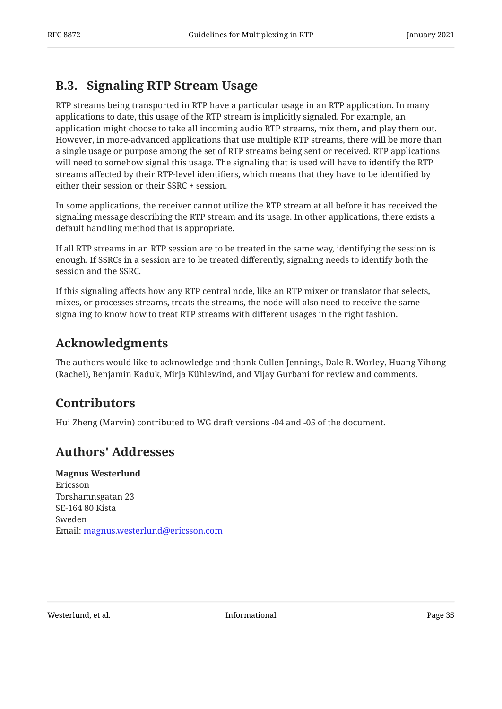# <span id="page-34-0"></span>**[B.3. Signaling RTP Stream Usage](#page-34-0)**

RTP streams being transported in RTP have a particular usage in an RTP application. In many applications to date, this usage of the RTP stream is implicitly signaled. For example, an application might choose to take all incoming audio RTP streams, mix them, and play them out. However, in more-advanced applications that use multiple RTP streams, there will be more than a single usage or purpose among the set of RTP streams being sent or received. RTP applications will need to somehow signal this usage. The signaling that is used will have to identify the RTP streams affected by their RTP-level identifiers, which means that they have to be identified by either their session or their SSRC + session.

In some applications, the receiver cannot utilize the RTP stream at all before it has received the signaling message describing the RTP stream and its usage. In other applications, there exists a default handling method that is appropriate.

If all RTP streams in an RTP session are to be treated in the same way, identifying the session is enough. If SSRCs in a session are to be treated differently, signaling needs to identify both the session and the SSRC.

If this signaling affects how any RTP central node, like an RTP mixer or translator that selects, mixes, or processes streams, treats the streams, the node will also need to receive the same signaling to know how to treat RTP streams with different usages in the right fashion.

# <span id="page-34-1"></span>**[Acknowledgments](#page-34-1)**

<span id="page-34-2"></span>The authors would like to acknowledge and thank Cullen Jennings, Dale R. Worley, Huang Yihong (Rachel), Benjamin Kaduk, Mirja Kühlewind, and Vijay Gurbani for review and comments.

# **[Contributors](#page-34-2)**

<span id="page-34-3"></span>Hui Zheng (Marvin) contributed to WG draft versions -04 and -05 of the document.

## **[Authors' Addresses](#page-34-3)**

**Magnus Westerlund** Ericsson Torshamnsgatan 23 SE- 164 80 Kista Sweden Email: [magnus.westerlund@ericsson.com](mailto:magnus.westerlund@ericsson.com)